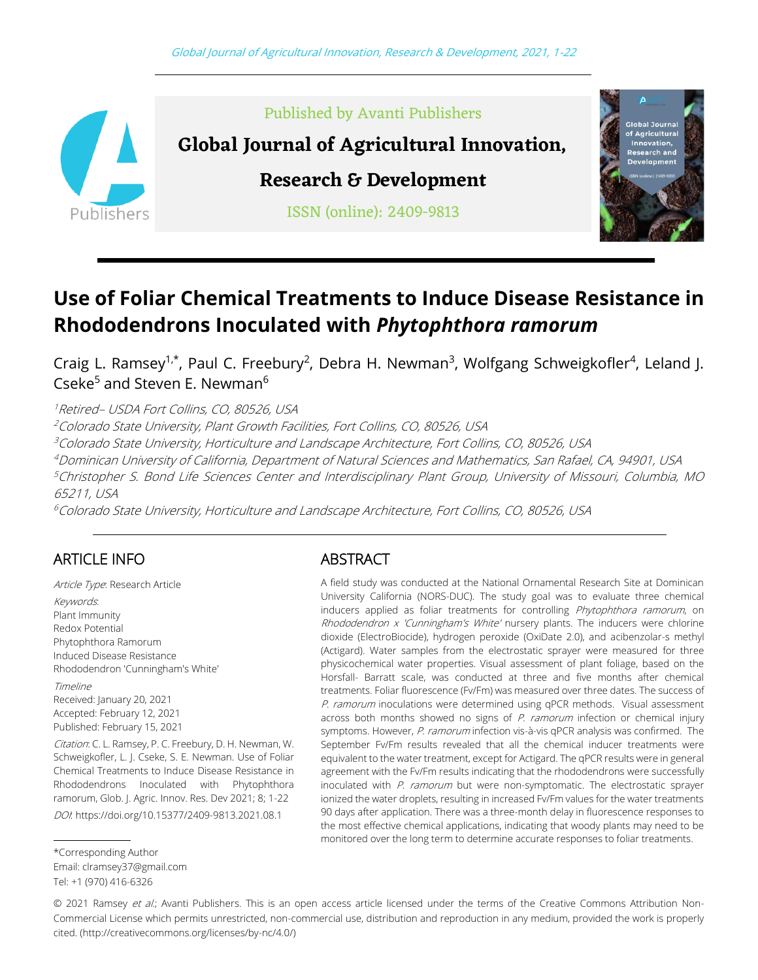

Published by Avanti Publishers

**Global Journal of Agricultural Innovation,** 

**Research & Development**

ISSN (online): 2409-9813



# **Use of Foliar Chemical Treatments to Induce Disease Resistance in Rhododendrons Inoculated with** *Phytophthora ramorum*

Craig L. Ramsey<sup>1,\*</sup>, Paul C. Freebury<sup>2</sup>, Debra H. Newman<sup>3</sup>, Wolfgang Schweigkofler<sup>4</sup>, Leland J. Cseke<sup>5</sup> and Steven E. Newman<sup>6</sup>

Retired– USDA Fort Collins, CO, 80526, USA Colorado State University, Plant Growth Facilities, Fort Collins, CO, 80526, USA Colorado State University, Horticulture and Landscape Architecture, Fort Collins, CO, 80526, USA Dominican University of California, Department of Natural Sciences and Mathematics, San Rafael, CA, 94901, USA Christopher S. Bond Life Sciences Center and Interdisciplinary Plant Group, University of Missouri, Columbia, MO 65211, USA

 $6$ Colorado State University, Horticulture and Landscape Architecture, Fort Collins, CO, 80526, USA

# ARTICLE INFO

Article Type: Research Article Keywords: Plant Immunity Redox Potential Phytophthora Ramorum Induced Disease Resistance Rhododendron 'Cunningham's White' Timeline Received: January 20, 2021 Accepted: February 12, 2021 Published: February 15, 2021

Citation: C. L. Ramsey, P. C. Freebury, D. H. Newman, W. Schweigkofler, L. J. Cseke, S. E. Newman. Use of Foliar Chemical Treatments to Induce Disease Resistance in Rhododendrons Inoculated with Phytophthora ramorum, Glob. J. Agric. Innov. Res. Dev 2021; 8; 1-22 DOI:<https://doi.org/10.15377/2409-9813.2021.08.1>

\*Corresponding Author Email[: clramsey37@gmail.com](mailto:clramsey37@gmail.com)

# ABSTRACT

A field study was conducted at the National Ornamental Research Site at Dominican University California (NORS-DUC). The study goal was to evaluate three chemical inducers applied as foliar treatments for controlling Phytophthora ramorum, on Rhododendron  $x$  'Cunningham's White' nursery plants. The inducers were chlorine dioxide (ElectroBiocide), hydrogen peroxide (OxiDate 2.0), and acibenzolar-s methyl (Actigard). Water samples from the electrostatic sprayer were measured for three physicochemical water properties. Visual assessment of plant foliage, based on the Horsfall- Barratt scale, was conducted at three and five months after chemical treatments. Foliar fluorescence (Fv/Fm) was measured over three dates. The success of P. ramorum inoculations were determined using qPCR methods. Visual assessment across both months showed no signs of  $P$ . ramorum infection or chemical injury symptoms. However, P. ramorum infection vis-à-vis qPCR analysis was confirmed. The September Fv/Fm results revealed that all the chemical inducer treatments were equivalent to the water treatment, except for Actigard. The qPCR results were in general agreement with the Fv/Fm results indicating that the rhododendrons were successfully inoculated with P. ramorum but were non-symptomatic. The electrostatic sprayer ionized the water droplets, resulting in increased Fv/Fm values for the water treatments 90 days after application. There was a three-month delay in fluorescence responses to the most effective chemical applications, indicating that woody plants may need to be monitored over the long term to determine accurate responses to foliar treatments.

© 2021 Ramsey et al.; Avanti Publishers. This is an open access article licensed under the terms of the Creative Commons Attribution Non-Commercial License which permits unrestricted, non-commercial use, distribution and reproduction in any medium, provided the work is properly cited. [\(http://creativecommons.org/licenses/by-nc/4.0/\)](http://creativecommons.org/licenses/by-nc/4.0/)

Tel: +1 (970) 416-6326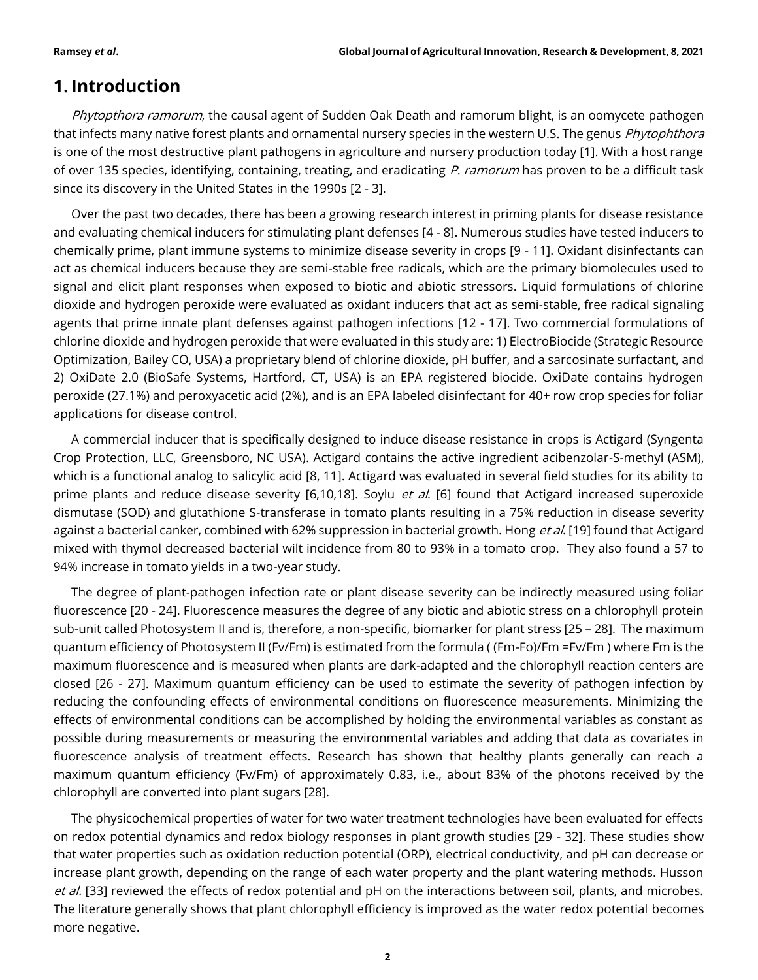# **1. Introduction**

Phytopthora ramorum, the causal agent of Sudden Oak Death and ramorum blight, is an oomycete pathogen that infects many native forest plants and ornamental nursery species in the western U.S. The genus *Phytophthora* is one of the most destructive plant pathogens in agriculture and nursery production today [1]. With a host range of over 135 species, identifying, containing, treating, and eradicating P. ramorum has proven to be a difficult task since its discovery in the United States in the 1990s [2 - 3].

Over the past two decades, there has been a growing research interest in priming plants for disease resistance and evaluating chemical inducers for stimulating plant defenses [4 - 8]. Numerous studies have tested inducers to chemically prime, plant immune systems to minimize disease severity in crops [9 - 11]. Oxidant disinfectants can act as chemical inducers because they are semi-stable free radicals, which are the primary biomolecules used to signal and elicit plant responses when exposed to biotic and abiotic stressors. Liquid formulations of chlorine dioxide and hydrogen peroxide were evaluated as oxidant inducers that act as semi-stable, free radical signaling agents that prime innate plant defenses against pathogen infections [12 - 17]. Two commercial formulations of chlorine dioxide and hydrogen peroxide that were evaluated in this study are: 1) ElectroBiocide (Strategic Resource Optimization, Bailey CO, USA) a proprietary blend of chlorine dioxide, pH buffer, and a sarcosinate surfactant, and 2) OxiDate 2.0 (BioSafe Systems, Hartford, CT, USA) is an EPA registered biocide. OxiDate contains hydrogen peroxide (27.1%) and peroxyacetic acid (2%), and is an EPA labeled disinfectant for 40+ row crop species for foliar applications for disease control.

A commercial inducer that is specifically designed to induce disease resistance in crops is Actigard (Syngenta Crop Protection, LLC, Greensboro, NC USA). Actigard contains the active ingredient acibenzolar-S-methyl (ASM), which is a functional analog to salicylic acid [8, 11]. Actigard was evaluated in several field studies for its ability to prime plants and reduce disease severity [6,10,18]. Soylu *et al.* [6] found that Actigard increased superoxide dismutase (SOD) and glutathione S-transferase in tomato plants resulting in a 75% reduction in disease severity against a bacterial canker, combined with 62% suppression in bacterial growth. Hong et al. [19] found that Actigard mixed with thymol decreased bacterial wilt incidence from 80 to 93% in a tomato crop. They also found a 57 to 94% increase in tomato yields in a two-year study.

The degree of plant-pathogen infection rate or plant disease severity can be indirectly measured using foliar fluorescence [20 - 24]. Fluorescence measures the degree of any biotic and abiotic stress on a chlorophyll protein sub-unit called Photosystem II and is, therefore, a non-specific, biomarker for plant stress [25 – 28]. The maximum quantum efficiency of Photosystem II (Fv/Fm) is estimated from the formula ( (Fm-Fo)/Fm =Fv/Fm ) where Fm is the maximum fluorescence and is measured when plants are dark-adapted and the chlorophyll reaction centers are closed [26 - 27]. Maximum quantum efficiency can be used to estimate the severity of pathogen infection by reducing the confounding effects of environmental conditions on fluorescence measurements. Minimizing the effects of environmental conditions can be accomplished by holding the environmental variables as constant as possible during measurements or measuring the environmental variables and adding that data as covariates in fluorescence analysis of treatment effects. Research has shown that healthy plants generally can reach a maximum quantum efficiency (Fv/Fm) of approximately 0.83, i.e., about 83% of the photons received by the chlorophyll are converted into plant sugars [28].

The physicochemical properties of water for two water treatment technologies have been evaluated for effects on redox potential dynamics and redox biology responses in plant growth studies [29 - 32]. These studies show that water properties such as oxidation reduction potential (ORP), electrical conductivity, and pH can decrease or increase plant growth, depending on the range of each water property and the plant watering methods. Husson et al. [33] reviewed the effects of redox potential and pH on the interactions between soil, plants, and microbes. The literature generally shows that plant chlorophyll efficiency is improved as the water redox potential becomes more negative.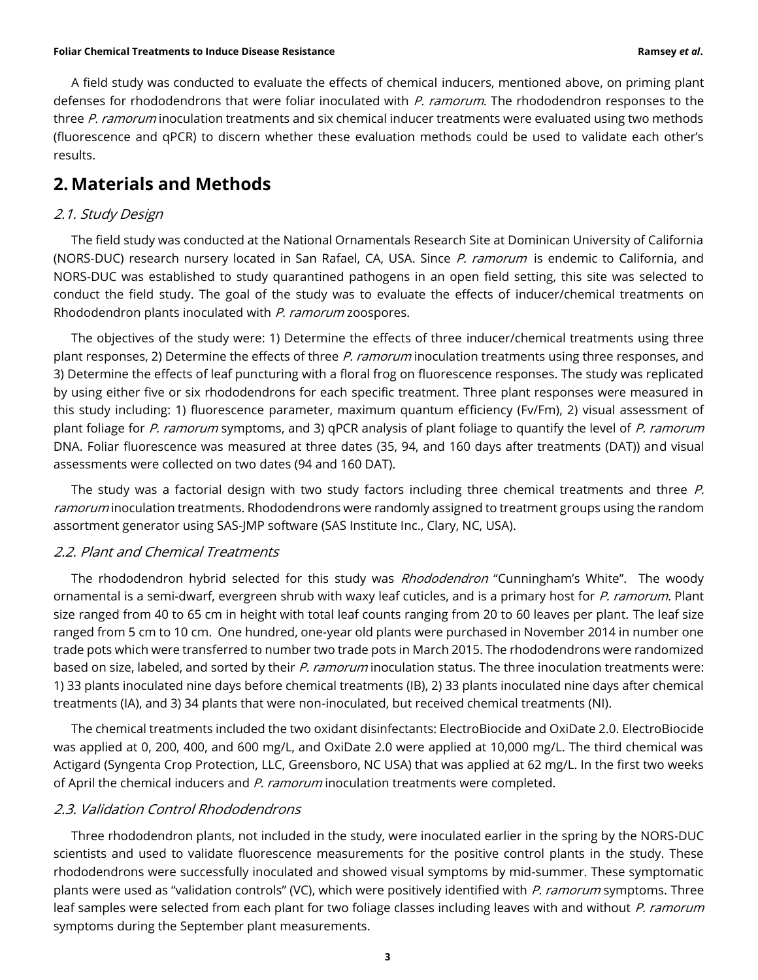A field study was conducted to evaluate the effects of chemical inducers, mentioned above, on priming plant defenses for rhododendrons that were foliar inoculated with P. ramorum. The rhododendron responses to the three P. ramorum inoculation treatments and six chemical inducer treatments were evaluated using two methods (fluorescence and qPCR) to discern whether these evaluation methods could be used to validate each other's results.

# **2. Materials and Methods**

### 2.1. Study Design

The field study was conducted at the National Ornamentals Research Site at Dominican University of California (NORS-DUC) research nursery located in San Rafael, CA, USA. Since P. ramorum is endemic to California, and NORS-DUC was established to study quarantined pathogens in an open field setting, this site was selected to conduct the field study. The goal of the study was to evaluate the effects of inducer/chemical treatments on Rhododendron plants inoculated with P. ramorum zoospores.

The objectives of the study were: 1) Determine the effects of three inducer/chemical treatments using three plant responses, 2) Determine the effects of three P. ramorum inoculation treatments using three responses, and 3) Determine the effects of leaf puncturing with a floral frog on fluorescence responses. The study was replicated by using either five or six rhododendrons for each specific treatment. Three plant responses were measured in this study including: 1) fluorescence parameter, maximum quantum efficiency (Fv/Fm), 2) visual assessment of plant foliage for P. ramorum symptoms, and 3) qPCR analysis of plant foliage to quantify the level of P. ramorum DNA. Foliar fluorescence was measured at three dates (35, 94, and 160 days after treatments (DAT)) and visual assessments were collected on two dates (94 and 160 DAT).

The study was a factorial design with two study factors including three chemical treatments and three P. ramorum inoculation treatments. Rhododendrons were randomly assigned to treatment groups using the random assortment generator using SAS-JMP software (SAS Institute Inc., Clary, NC, USA).

## 2.2. Plant and Chemical Treatments

The rhododendron hybrid selected for this study was *Rhododendron* "Cunningham's White". The woody ornamental is a semi-dwarf, evergreen shrub with waxy leaf cuticles, and is a primary host for P. ramorum. Plant size ranged from 40 to 65 cm in height with total leaf counts ranging from 20 to 60 leaves per plant. The leaf size ranged from 5 cm to 10 cm. One hundred, one-year old plants were purchased in November 2014 in number one trade pots which were transferred to number two trade pots in March 2015. The rhododendrons were randomized based on size, labeled, and sorted by their P. ramorum inoculation status. The three inoculation treatments were: 1) 33 plants inoculated nine days before chemical treatments (IB), 2) 33 plants inoculated nine days after chemical treatments (IA), and 3) 34 plants that were non-inoculated, but received chemical treatments (NI).

The chemical treatments included the two oxidant disinfectants: ElectroBiocide and OxiDate 2.0. ElectroBiocide was applied at 0, 200, 400, and 600 mg/L, and OxiDate 2.0 were applied at 10,000 mg/L. The third chemical was Actigard (Syngenta Crop Protection, LLC, Greensboro, NC USA) that was applied at 62 mg/L. In the first two weeks of April the chemical inducers and P. ramorum inoculation treatments were completed.

### 2.3. Validation Control Rhododendrons

Three rhododendron plants, not included in the study, were inoculated earlier in the spring by the NORS-DUC scientists and used to validate fluorescence measurements for the positive control plants in the study. These rhododendrons were successfully inoculated and showed visual symptoms by mid-summer. These symptomatic plants were used as "validation controls" (VC), which were positively identified with P. ramorum symptoms. Three leaf samples were selected from each plant for two foliage classes including leaves with and without P. ramorum symptoms during the September plant measurements.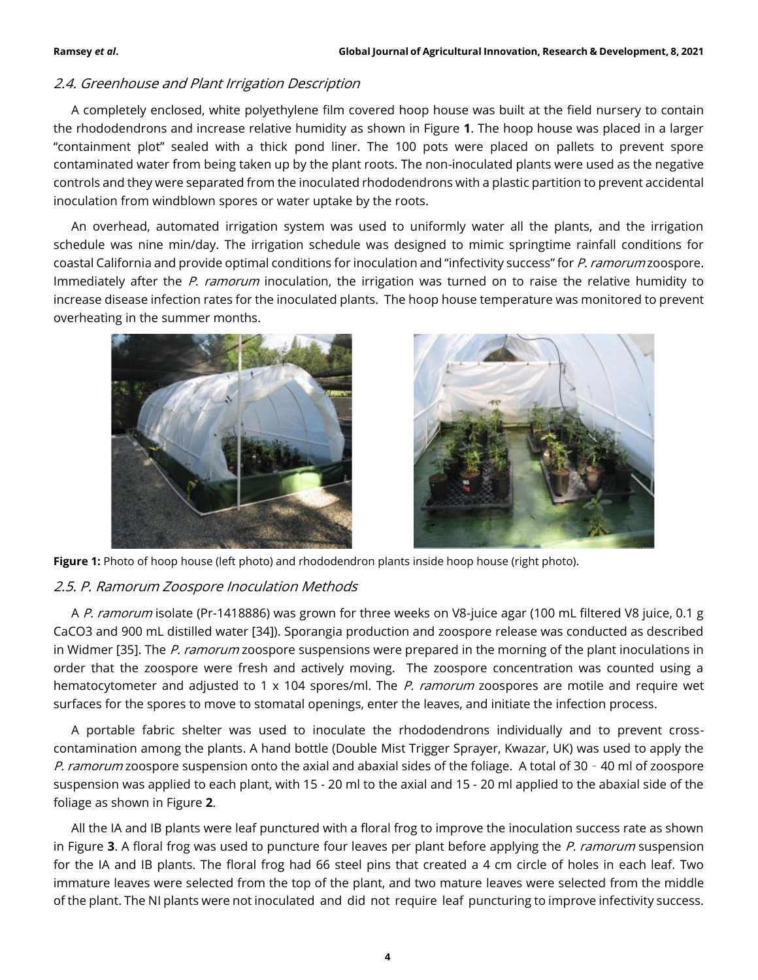# 2.4. Greenhouse and Plant Irrigation Description

A completely enclosed, white polyethylene film covered hoop house was built at the field nursery to contain the rhododendrons and increase relative humidity as shown in Figure **1**. The hoop house was placed in a larger "containment plot" sealed with a thick pond liner. The 100 pots were placed on pallets to prevent spore contaminated water from being taken up by the plant roots. The non-inoculated plants were used as the negative controls and they were separated from the inoculated rhododendrons with a plastic partition to prevent accidental inoculation from windblown spores or water uptake by the roots.

An overhead, automated irrigation system was used to uniformly water all the plants, and the irrigation schedule was nine min/day. The irrigation schedule was designed to mimic springtime rainfall conditions for coastal California and provide optimal conditions for inoculation and "infectivity success" for P. ramorum zoospore. Immediately after the P. ramorum inoculation, the irrigation was turned on to raise the relative humidity to increase disease infection rates for the inoculated plants. The hoop house temperature was monitored to prevent overheating in the summer months.







# 2.5. P. Ramorum Zoospore Inoculation Methods

A P. ramorum isolate (Pr-1418886) was grown for three weeks on V8-juice agar (100 mL filtered V8 juice, 0.1 g CaCO3 and 900 mL distilled water [34]). Sporangia production and zoospore release was conducted as described in Widmer [35]. The P. ramorum zoospore suspensions were prepared in the morning of the plant inoculations in order that the zoospore were fresh and actively moving. The zoospore concentration was counted using a hematocytometer and adjusted to 1 x 104 spores/ml. The P. ramorum zoospores are motile and require wet surfaces for the spores to move to stomatal openings, enter the leaves, and initiate the infection process.

A portable fabric shelter was used to inoculate the rhododendrons individually and to prevent crosscontamination among the plants. A hand bottle (Double Mist Trigger Sprayer, Kwazar, UK) was used to apply the P. ramorum zoospore suspension onto the axial and abaxial sides of the foliage. A total of 30 - 40 ml of zoospore suspension was applied to each plant, with 15 - 20 ml to the axial and 15 - 20 ml applied to the abaxial side of the foliage as shown in Figure **2**.

All the IA and IB plants were leaf punctured with a floral frog to improve the inoculation success rate as shown in Figure **3**. A floral frog was used to puncture four leaves per plant before applying the P. ramorum suspension for the IA and IB plants. The floral frog had 66 steel pins that created a 4 cm circle of holes in each leaf. Two immature leaves were selected from the top of the plant, and two mature leaves were selected from the middle of the plant. The NI plants were not inoculated and did not require leaf puncturing to improve infectivity success.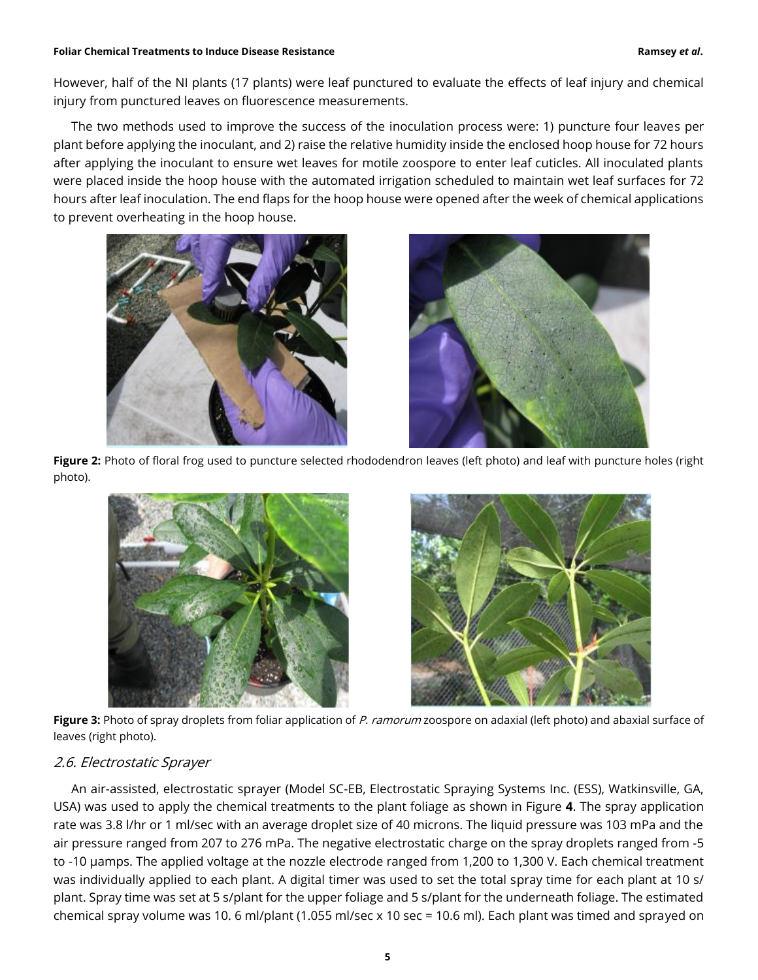However, half of the NI plants (17 plants) were leaf punctured to evaluate the effects of leaf injury and chemical injury from punctured leaves on fluorescence measurements.

The two methods used to improve the success of the inoculation process were: 1) puncture four leaves per plant before applying the inoculant, and 2) raise the relative humidity inside the enclosed hoop house for 72 hours after applying the inoculant to ensure wet leaves for motile zoospore to enter leaf cuticles. All inoculated plants were placed inside the hoop house with the automated irrigation scheduled to maintain wet leaf surfaces for 72 hours after leaf inoculation. The end flaps for the hoop house were opened after the week of chemical applications to prevent overheating in the hoop house.





**Figure 2:** Photo of floral frog used to puncture selected rhododendron leaves (left photo) and leaf with puncture holes (right photo).





**Figure 3:** Photo of spray droplets from foliar application of P. ramorum zoospore on adaxial (left photo) and abaxial surface of leaves (right photo).

# 2.6. Electrostatic Sprayer

An air-assisted, electrostatic sprayer (Model SC-EB, Electrostatic Spraying Systems Inc. (ESS), Watkinsville, GA, USA) was used to apply the chemical treatments to the plant foliage as shown in Figure **4**. The spray application rate was 3.8 l/hr or 1 ml/sec with an average droplet size of 40 microns. The liquid pressure was 103 mPa and the air pressure ranged from 207 to 276 mPa. The negative electrostatic charge on the spray droplets ranged from -5 to -10 µamps. The applied voltage at the nozzle electrode ranged from 1,200 to 1,300 V. Each chemical treatment was individually applied to each plant. A digital timer was used to set the total spray time for each plant at 10 s/ plant. Spray time was set at 5 s/plant for the upper foliage and 5 s/plant for the underneath foliage. The estimated chemical spray volume was 10. 6 ml/plant (1.055 ml/sec x 10 sec = 10.6 ml). Each plant was timed and sprayed on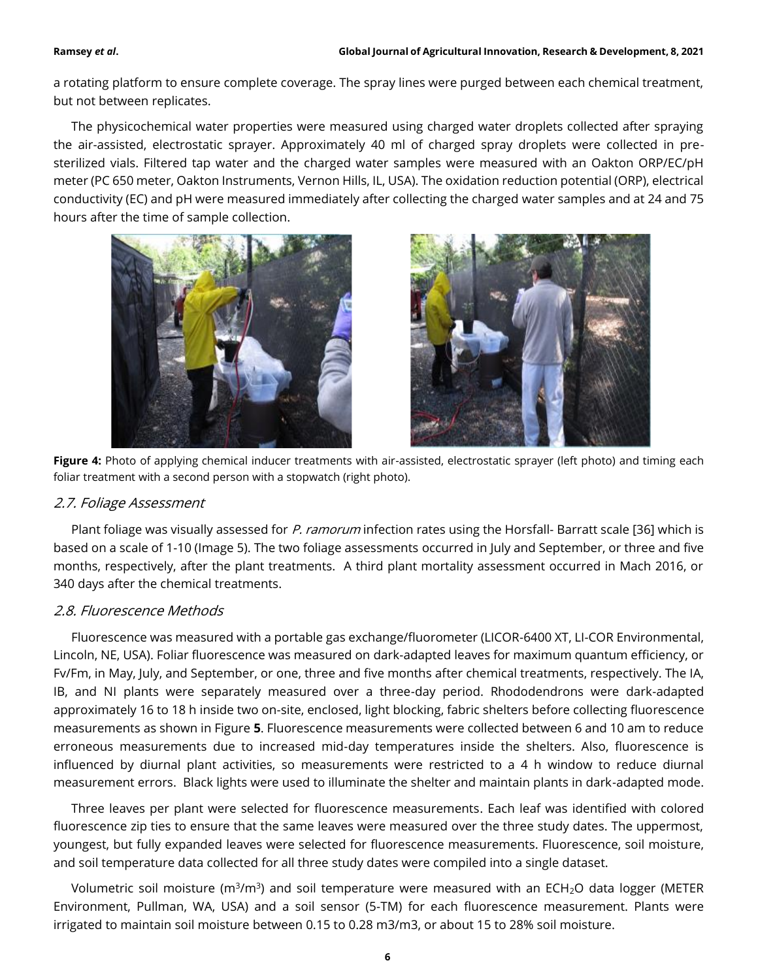a rotating platform to ensure complete coverage. The spray lines were purged between each chemical treatment, but not between replicates.

The physicochemical water properties were measured using charged water droplets collected after spraying the air-assisted, electrostatic sprayer. Approximately 40 ml of charged spray droplets were collected in presterilized vials. Filtered tap water and the charged water samples were measured with an Oakton ORP/EC/pH meter (PC 650 meter, Oakton Instruments, Vernon Hills, IL, USA). The oxidation reduction potential (ORP), electrical conductivity (EC) and pH were measured immediately after collecting the charged water samples and at 24 and 75 hours after the time of sample collection.





**Figure 4:** Photo of applying chemical inducer treatments with air-assisted, electrostatic sprayer (left photo) and timing each foliar treatment with a second person with a stopwatch (right photo).

# 2.7. Foliage Assessment

Plant foliage was visually assessed for P. ramorum infection rates using the Horsfall- Barratt scale [36] which is based on a scale of 1-10 (Image 5). The two foliage assessments occurred in July and September, or three and five months, respectively, after the plant treatments. A third plant mortality assessment occurred in Mach 2016, or 340 days after the chemical treatments.

# 2.8. Fluorescence Methods

Fluorescence was measured with a portable gas exchange/fluorometer (LICOR-6400 XT, LI-COR Environmental, Lincoln, NE, USA). Foliar fluorescence was measured on dark-adapted leaves for maximum quantum efficiency, or Fv/Fm, in May, July, and September, or one, three and five months after chemical treatments, respectively. The IA, IB, and NI plants were separately measured over a three-day period. Rhododendrons were dark-adapted approximately 16 to 18 h inside two on-site, enclosed, light blocking, fabric shelters before collecting fluorescence measurements as shown in Figure **5**. Fluorescence measurements were collected between 6 and 10 am to reduce erroneous measurements due to increased mid-day temperatures inside the shelters. Also, fluorescence is influenced by diurnal plant activities, so measurements were restricted to a 4 h window to reduce diurnal measurement errors. Black lights were used to illuminate the shelter and maintain plants in dark-adapted mode.

Three leaves per plant were selected for fluorescence measurements. Each leaf was identified with colored fluorescence zip ties to ensure that the same leaves were measured over the three study dates. The uppermost, youngest, but fully expanded leaves were selected for fluorescence measurements. Fluorescence, soil moisture, and soil temperature data collected for all three study dates were compiled into a single dataset.

Volumetric soil moisture (m $3/m^3$ ) and soil temperature were measured with an ECH<sub>2</sub>O data logger (METER Environment, Pullman, WA, USA) and a soil sensor (5-TM) for each fluorescence measurement. Plants were irrigated to maintain soil moisture between 0.15 to 0.28 m3/m3, or about 15 to 28% soil moisture.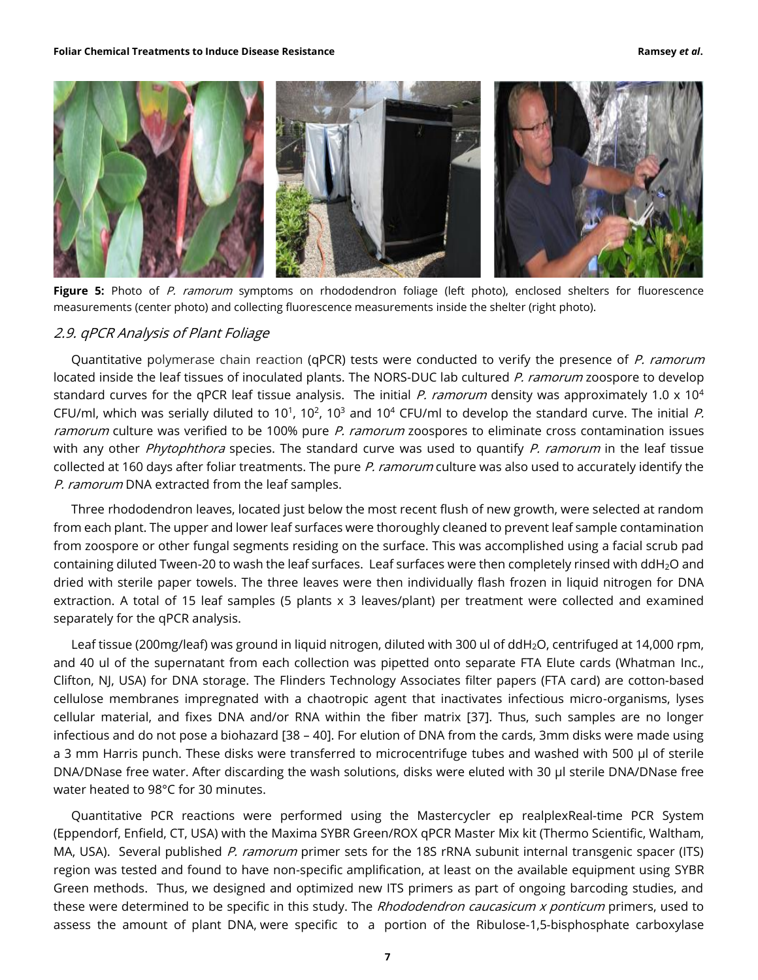

Figure 5: Photo of P. ramorum symptoms on rhododendron foliage (left photo), enclosed shelters for fluorescence measurements (center photo) and collecting fluorescence measurements inside the shelter (right photo).

### 2.9. qPCR Analysis of Plant Foliage

Quantitative polymerase chain reaction (qPCR) tests were conducted to verify the presence of P. ramorum located inside the leaf tissues of inoculated plants. The NORS-DUC lab cultured P. ramorum zoospore to develop standard curves for the qPCR leaf tissue analysis. The initial P. ramorum density was approximately 1.0 x 10<sup>4</sup> CFU/ml, which was serially diluted to 10<sup>1</sup>, 10<sup>2</sup>, 10<sup>3</sup> and 10<sup>4</sup> CFU/ml to develop the standard curve. The initial P. ramorum culture was verified to be 100% pure P. ramorum zoospores to eliminate cross contamination issues with any other Phytophthora species. The standard curve was used to quantify P. ramorum in the leaf tissue collected at 160 days after foliar treatments. The pure P. ramorum culture was also used to accurately identify the P. ramorum DNA extracted from the leaf samples.

Three rhododendron leaves, located just below the most recent flush of new growth, were selected at random from each plant. The upper and lower leaf surfaces were thoroughly cleaned to prevent leaf sample contamination from zoospore or other fungal segments residing on the surface. This was accomplished using a facial scrub pad containing diluted Tween-20 to wash the leaf surfaces. Leaf surfaces were then completely rinsed with ddH<sub>2</sub>O and dried with sterile paper towels. The three leaves were then individually flash frozen in liquid nitrogen for DNA extraction. A total of 15 leaf samples (5 plants x 3 leaves/plant) per treatment were collected and examined separately for the qPCR analysis.

Leaf tissue (200mg/leaf) was ground in liquid nitrogen, diluted with 300 ul of ddH<sub>2</sub>O, centrifuged at 14,000 rpm, and 40 ul of the supernatant from each collection was pipetted onto separate FTA Elute cards (Whatman Inc., Clifton, NJ, USA) for DNA storage. The Flinders Technology Associates filter papers (FTA card) are cotton-based cellulose membranes impregnated with a chaotropic agent that inactivates infectious micro-organisms, lyses cellular material, and fixes DNA and/or RNA within the fiber matrix [37]. Thus, such samples are no longer infectious and do not pose a biohazard [38 – 40]. For elution of DNA from the cards, 3mm disks were made using a 3 mm Harris punch. These disks were transferred to microcentrifuge tubes and washed with 500 µl of sterile DNA/DNase free water. After discarding the wash solutions, disks were eluted with 30 µl sterile DNA/DNase free water heated to 98°C for 30 minutes.

Quantitative PCR reactions were performed using the Mastercycler ep realplexReal-time PCR System (Eppendorf, Enfield, CT, USA) with the Maxima SYBR Green/ROX qPCR Master Mix kit (Thermo Scientific, Waltham, MA, USA). Several published P. ramorum primer sets for the 18S rRNA subunit internal transgenic spacer (ITS) region was tested and found to have non-specific amplification, at least on the available equipment using SYBR Green methods. Thus, we designed and optimized new ITS primers as part of ongoing barcoding studies, and these were determined to be specific in this study. The Rhododendron caucasicum x ponticum primers, used to assess the amount of plant DNA, were specific to a portion of the Ribulose-1,5-bisphosphate carboxylase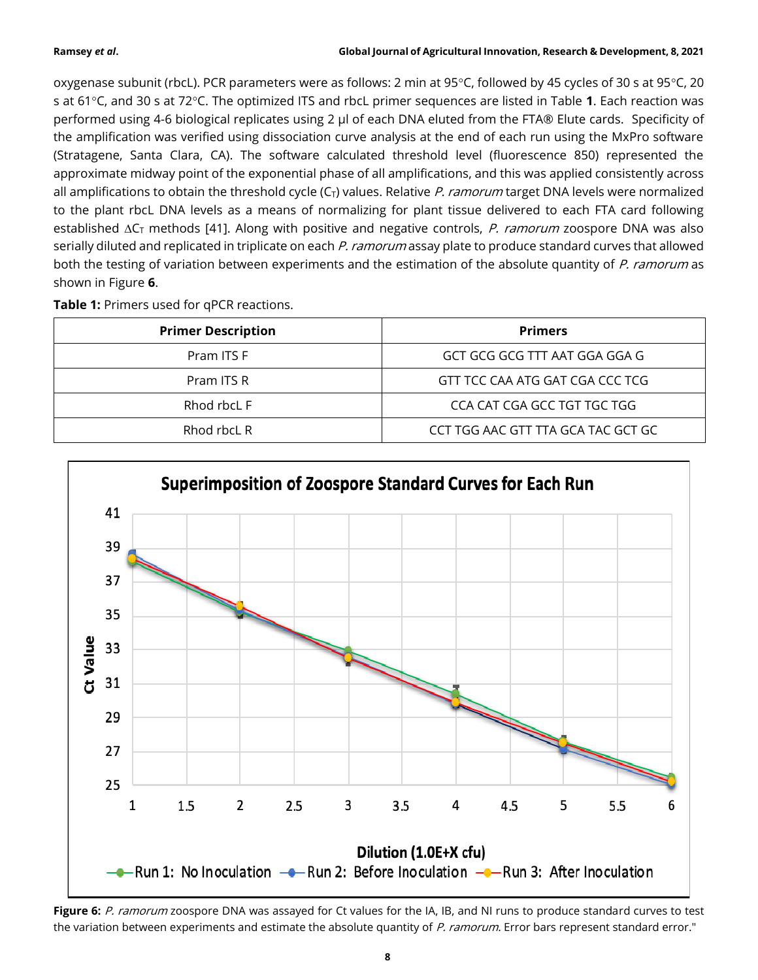oxygenase subunit (rbcL). PCR parameters were as follows: 2 min at  $95^{\circ}$ C, followed by 45 cycles of 30 s at  $95^{\circ}$ C, 20 s at 61°C, and 30 s at 72°C. The optimized ITS and rbcL primer sequences are listed in Table 1. Each reaction was performed using 4-6 biological replicates using 2 µl of each DNA eluted from the FTA® Elute cards. Specificity of the amplification was verified using dissociation curve analysis at the end of each run using the MxPro software (Stratagene, Santa Clara, CA). The software calculated threshold level (fluorescence 850) represented the approximate midway point of the exponential phase of all amplifications, and this was applied consistently across all amplifications to obtain the threshold cycle  $(C_T)$  values. Relative P. ramorum target DNA levels were normalized to the plant rbcL DNA levels as a means of normalizing for plant tissue delivered to each FTA card following established  $\Delta C_T$  methods [41]. Along with positive and negative controls, P. ramorum zoospore DNA was also serially diluted and replicated in triplicate on each P. ramorum assay plate to produce standard curves that allowed both the testing of variation between experiments and the estimation of the absolute quantity of P. ramorum as shown in Figure **6**.

| Table 1: Primers used for qPCR reactions. |  |  |  |  |  |  |
|-------------------------------------------|--|--|--|--|--|--|
|-------------------------------------------|--|--|--|--|--|--|

| <b>Primer Description</b> | <b>Primers</b>                     |
|---------------------------|------------------------------------|
| Pram ITS F                | GCT GCG GCG TTT AAT GGA GGA G      |
| Pram ITS R                | GTT TCC CAA ATG GAT CGA CCC TCG    |
| Rhod rbcL F               | CCA CAT CGA GCC TGT TGC TGG        |
| Rhod rbcL R               | CCT TGG AAC GTT TTA GCA TAC GCT GC |



Figure 6: P. ramorum zoospore DNA was assayed for Ct values for the IA, IB, and NI runs to produce standard curves to test the variation between experiments and estimate the absolute quantity of P. ramorum. Error bars represent standard error."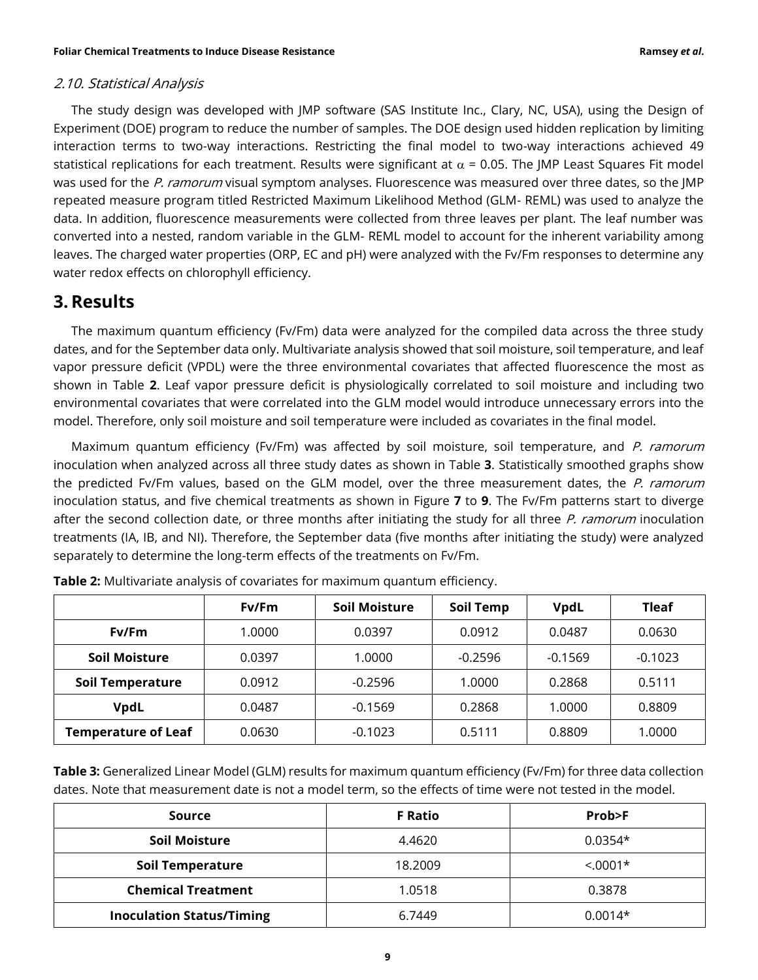## 2.10. Statistical Analysis

The study design was developed with JMP software (SAS Institute Inc., Clary, NC, USA), using the Design of Experiment (DOE) program to reduce the number of samples. The DOE design used hidden replication by limiting interaction terms to two-way interactions. Restricting the final model to two-way interactions achieved 49 statistical replications for each treatment. Results were significant at  $\alpha$  = 0.05. The JMP Least Squares Fit model was used for the P. ramorum visual symptom analyses. Fluorescence was measured over three dates, so the JMP repeated measure program titled Restricted Maximum Likelihood Method (GLM- REML) was used to analyze the data. In addition, fluorescence measurements were collected from three leaves per plant. The leaf number was converted into a nested, random variable in the GLM- REML model to account for the inherent variability among leaves. The charged water properties (ORP, EC and pH) were analyzed with the Fv/Fm responses to determine any water redox effects on chlorophyll efficiency.

# **3. Results**

The maximum quantum efficiency (Fv/Fm) data were analyzed for the compiled data across the three study dates, and for the September data only. Multivariate analysis showed that soil moisture, soil temperature, and leaf vapor pressure deficit (VPDL) were the three environmental covariates that affected fluorescence the most as shown in Table **2**. Leaf vapor pressure deficit is physiologically correlated to soil moisture and including two environmental covariates that were correlated into the GLM model would introduce unnecessary errors into the model. Therefore, only soil moisture and soil temperature were included as covariates in the final model.

Maximum quantum efficiency (Fv/Fm) was affected by soil moisture, soil temperature, and P. ramorum inoculation when analyzed across all three study dates as shown in Table **3**. Statistically smoothed graphs show the predicted Fv/Fm values, based on the GLM model, over the three measurement dates, the P. ramorum inoculation status, and five chemical treatments as shown in Figure **7** to **9**. The Fv/Fm patterns start to diverge after the second collection date, or three months after initiating the study for all three P. ramorum inoculation treatments (IA, IB, and NI). Therefore, the September data (five months after initiating the study) were analyzed separately to determine the long-term effects of the treatments on Fv/Fm.

|                            | Fv/Fm  | <b>Soil Moisture</b> | Soil Temp | <b>VpdL</b> | Tleaf     |
|----------------------------|--------|----------------------|-----------|-------------|-----------|
| Fv/Fm                      | 1.0000 | 0.0397               | 0.0912    | 0.0487      | 0.0630    |
| <b>Soil Moisture</b>       | 0.0397 | 1.0000               | $-0.2596$ | $-0.1569$   | $-0.1023$ |
| <b>Soil Temperature</b>    | 0.0912 | $-0.2596$            | 1.0000    | 0.2868      | 0.5111    |
| <b>VpdL</b>                | 0.0487 | $-0.1569$            | 0.2868    | 1.0000      | 0.8809    |
| <b>Temperature of Leaf</b> | 0.0630 | $-0.1023$            | 0.5111    | 0.8809      | 1.0000    |

| <b>Table 2:</b> Multivariate analysis of covariates for maximum quantum efficiency. |  |  |
|-------------------------------------------------------------------------------------|--|--|
|                                                                                     |  |  |

**Table 3:** Generalized Linear Model (GLM) results for maximum quantum efficiency (Fv/Fm) for three data collection dates. Note that measurement date is not a model term, so the effects of time were not tested in the model.

| Source                           | <b>F</b> Ratio | Prob>F     |
|----------------------------------|----------------|------------|
| <b>Soil Moisture</b>             | 4.4620         | $0.0354*$  |
| <b>Soil Temperature</b>          | 18.2009        | $< 0.001*$ |
| <b>Chemical Treatment</b>        | 1.0518         | 0.3878     |
| <b>Inoculation Status/Timing</b> | 6.7449         | $0.0014*$  |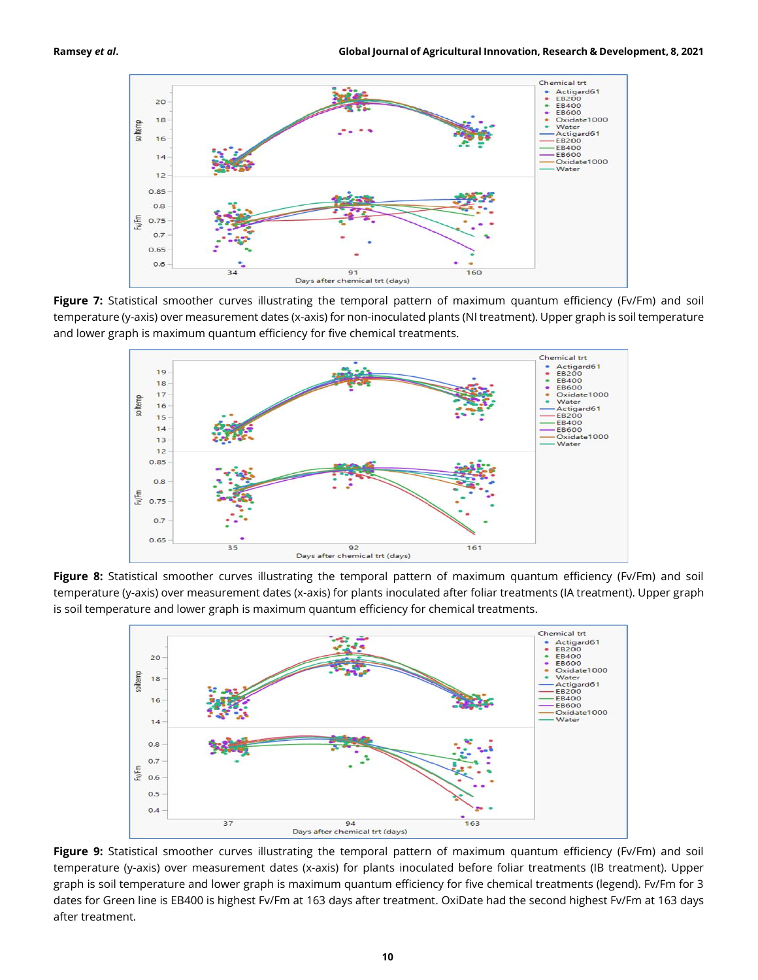

**Figure 7:** Statistical smoother curves illustrating the temporal pattern of maximum quantum efficiency (Fv/Fm) and soil temperature (y-axis) over measurement dates (x-axis) for non-inoculated plants (NI treatment). Upper graph is soil temperature and lower graph is maximum quantum efficiency for five chemical treatments.



**Figure 8:** Statistical smoother curves illustrating the temporal pattern of maximum quantum efficiency (Fv/Fm) and soil temperature (y-axis) over measurement dates (x-axis) for plants inoculated after foliar treatments (IA treatment). Upper graph is soil temperature and lower graph is maximum quantum efficiency for chemical treatments.



**Figure 9:** Statistical smoother curves illustrating the temporal pattern of maximum quantum efficiency (Fv/Fm) and soil temperature (y-axis) over measurement dates (x-axis) for plants inoculated before foliar treatments (IB treatment). Upper graph is soil temperature and lower graph is maximum quantum efficiency for five chemical treatments (legend). Fv/Fm for 3 dates for Green line is EB400 is highest Fv/Fm at 163 days after treatment. OxiDate had the second highest Fv/Fm at 163 days after treatment.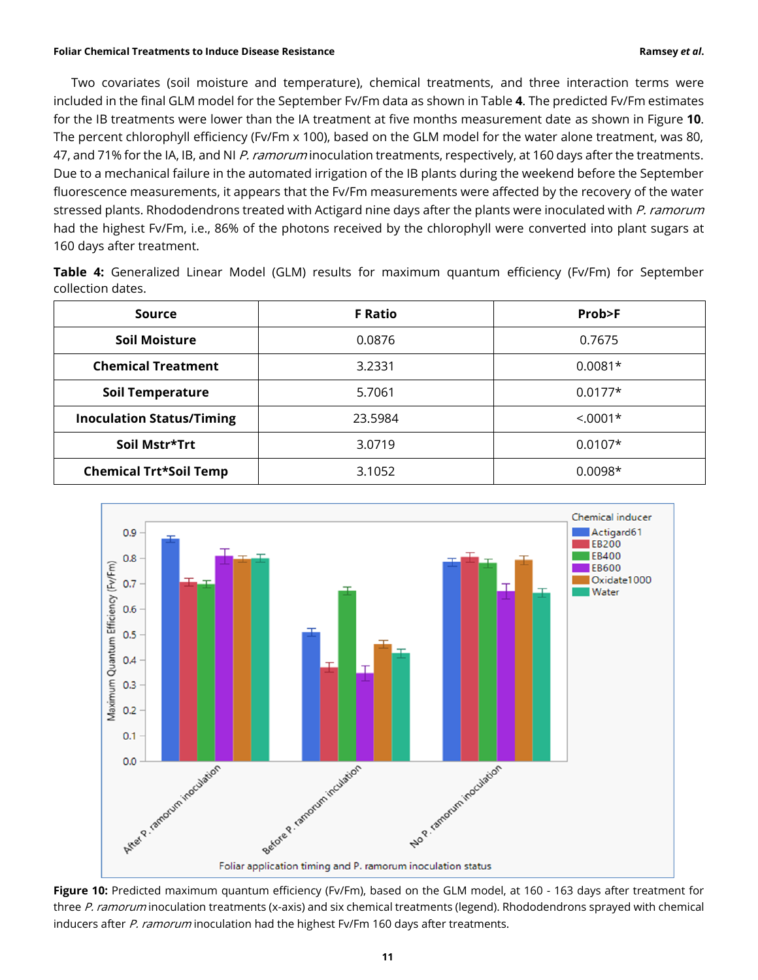Two covariates (soil moisture and temperature), chemical treatments, and three interaction terms were included in the final GLM model for the September Fv/Fm data as shown in Table **4**. The predicted Fv/Fm estimates for the IB treatments were lower than the IA treatment at five months measurement date as shown in Figure **10**. The percent chlorophyll efficiency (Fv/Fm x 100), based on the GLM model for the water alone treatment, was 80, 47, and 71% for the IA, IB, and NI P. ramorum inoculation treatments, respectively, at 160 days after the treatments. Due to a mechanical failure in the automated irrigation of the IB plants during the weekend before the September fluorescence measurements, it appears that the Fv/Fm measurements were affected by the recovery of the water stressed plants. Rhododendrons treated with Actigard nine days after the plants were inoculated with P. ramorum had the highest Fv/Fm, i.e., 86% of the photons received by the chlorophyll were converted into plant sugars at 160 days after treatment.

| Table 4: Generalized Linear Model (GLM) results for maximum quantum efficiency (Fv/Fm) for September |  |  |  |  |  |  |
|------------------------------------------------------------------------------------------------------|--|--|--|--|--|--|
| collection dates.                                                                                    |  |  |  |  |  |  |

| Source                           | <b>F Ratio</b> | Prob>F     |
|----------------------------------|----------------|------------|
| Soil Moisture                    | 0.0876         | 0.7675     |
| <b>Chemical Treatment</b>        | 3.2331         | $0.0081*$  |
| <b>Soil Temperature</b>          | 5.7061         | $0.0177*$  |
| <b>Inoculation Status/Timing</b> | 23.5984        | $< 0.001*$ |
| Soil Mstr*Trt                    | 3.0719         | $0.0107*$  |
| <b>Chemical Trt*Soil Temp</b>    | 3.1052         | $0.0098*$  |



**Figure 10:** Predicted maximum quantum efficiency (Fv/Fm), based on the GLM model, at 160 - 163 days after treatment for three P. ramorum inoculation treatments (x-axis) and six chemical treatments (legend). Rhododendrons sprayed with chemical inducers after P. ramorum inoculation had the highest Fv/Fm 160 days after treatments.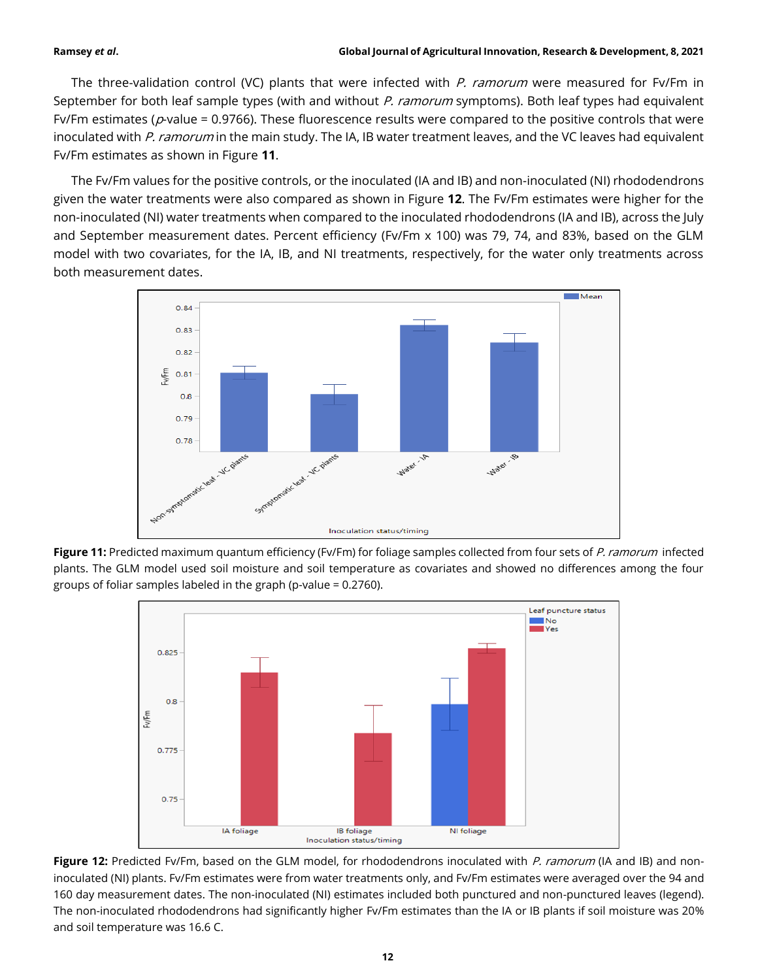The three-validation control (VC) plants that were infected with P. ramorum were measured for Fv/Fm in September for both leaf sample types (with and without P. ramorum symptoms). Both leaf types had equivalent Fv/Fm estimates ( $p$ -value = 0.9766). These fluorescence results were compared to the positive controls that were inoculated with P. ramorum in the main study. The IA, IB water treatment leaves, and the VC leaves had equivalent Fv/Fm estimates as shown in Figure **11**.

The Fv/Fm values for the positive controls, or the inoculated (IA and IB) and non-inoculated (NI) rhododendrons given the water treatments were also compared as shown in Figure **12**. The Fv/Fm estimates were higher for the non-inoculated (NI) water treatments when compared to the inoculated rhododendrons (IA and IB), across the July and September measurement dates. Percent efficiency (Fv/Fm x 100) was 79, 74, and 83%, based on the GLM model with two covariates, for the IA, IB, and NI treatments, respectively, for the water only treatments across both measurement dates.



**Figure 11:** Predicted maximum quantum efficiency (Fv/Fm) for foliage samples collected from four sets of P. ramorum infected plants. The GLM model used soil moisture and soil temperature as covariates and showed no differences among the four groups of foliar samples labeled in the graph (p-value = 0.2760).



Figure 12: Predicted Fv/Fm, based on the GLM model, for rhododendrons inoculated with P. ramorum (IA and IB) and noninoculated (NI) plants. Fv/Fm estimates were from water treatments only, and Fv/Fm estimates were averaged over the 94 and 160 day measurement dates. The non-inoculated (NI) estimates included both punctured and non-punctured leaves (legend). The non-inoculated rhododendrons had significantly higher Fv/Fm estimates than the IA or IB plants if soil moisture was 20% and soil temperature was 16.6 C.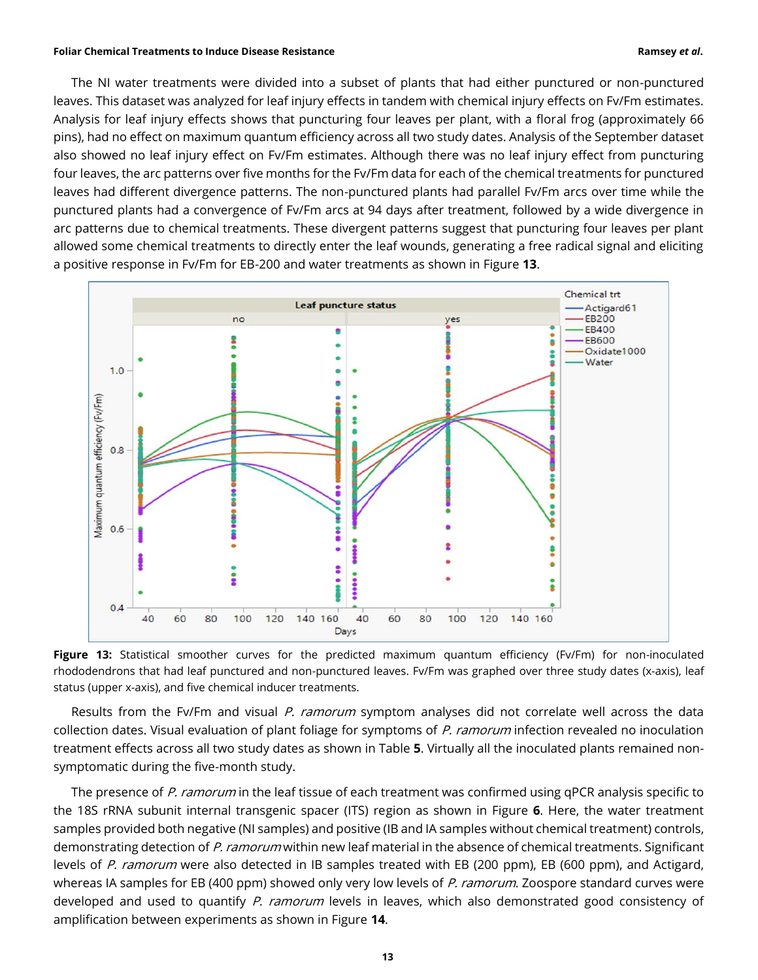The NI water treatments were divided into a subset of plants that had either punctured or non-punctured leaves. This dataset was analyzed for leaf injury effects in tandem with chemical injury effects on Fv/Fm estimates. Analysis for leaf injury effects shows that puncturing four leaves per plant, with a floral frog (approximately 66 pins), had no effect on maximum quantum efficiency across all two study dates. Analysis of the September dataset also showed no leaf injury effect on Fv/Fm estimates. Although there was no leaf injury effect from puncturing four leaves, the arc patterns over five months for the Fv/Fm data for each of the chemical treatments for punctured leaves had different divergence patterns. The non-punctured plants had parallel Fv/Fm arcs over time while the punctured plants had a convergence of Fv/Fm arcs at 94 days after treatment, followed by a wide divergence in arc patterns due to chemical treatments. These divergent patterns suggest that puncturing four leaves per plant allowed some chemical treatments to directly enter the leaf wounds, generating a free radical signal and eliciting a positive response in Fv/Fm for EB-200 and water treatments as shown in Figure **13**.



**Figure 13:** Statistical smoother curves for the predicted maximum quantum efficiency (Fv/Fm) for non-inoculated rhododendrons that had leaf punctured and non-punctured leaves. Fv/Fm was graphed over three study dates (x-axis), leaf status (upper x-axis), and five chemical inducer treatments.

Results from the Fv/Fm and visual P. ramorum symptom analyses did not correlate well across the data collection dates. Visual evaluation of plant foliage for symptoms of P. ramorum infection revealed no inoculation treatment effects across all two study dates as shown in Table **5**. Virtually all the inoculated plants remained nonsymptomatic during the five-month study.

The presence of P. ramorum in the leaf tissue of each treatment was confirmed using qPCR analysis specific to the 18S rRNA subunit internal transgenic spacer (ITS) region as shown in Figure **6**. Here, the water treatment samples provided both negative (NI samples) and positive (IB and IA samples without chemical treatment) controls, demonstrating detection of P. ramorum within new leaf material in the absence of chemical treatments. Significant levels of P. ramorum were also detected in IB samples treated with EB (200 ppm), EB (600 ppm), and Actigard, whereas IA samples for EB (400 ppm) showed only very low levels of P. ramorum. Zoospore standard curves were developed and used to quantify P. ramorum levels in leaves, which also demonstrated good consistency of amplification between experiments as shown in Figure **14**.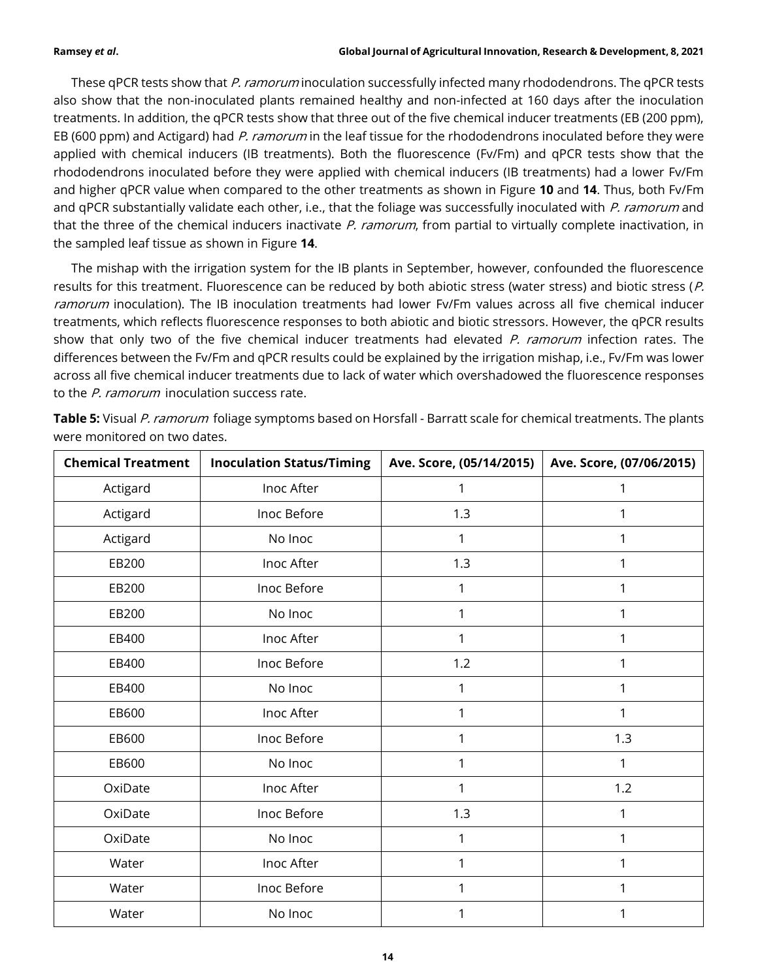These qPCR tests show that P. ramorum inoculation successfully infected many rhododendrons. The qPCR tests also show that the non-inoculated plants remained healthy and non-infected at 160 days after the inoculation treatments. In addition, the qPCR tests show that three out of the five chemical inducer treatments (EB (200 ppm), EB (600 ppm) and Actigard) had P. ramorum in the leaf tissue for the rhododendrons inoculated before they were applied with chemical inducers (IB treatments). Both the fluorescence (Fv/Fm) and qPCR tests show that the rhododendrons inoculated before they were applied with chemical inducers (IB treatments) had a lower Fv/Fm and higher qPCR value when compared to the other treatments as shown in Figure **10** and **14**. Thus, both Fv/Fm and qPCR substantially validate each other, i.e., that the foliage was successfully inoculated with P. ramorum and that the three of the chemical inducers inactivate P. ramorum, from partial to virtually complete inactivation, in the sampled leaf tissue as shown in Figure **14**.

The mishap with the irrigation system for the IB plants in September, however, confounded the fluorescence results for this treatment. Fluorescence can be reduced by both abiotic stress (water stress) and biotic stress (P. ramorum inoculation). The IB inoculation treatments had lower Fv/Fm values across all five chemical inducer treatments, which reflects fluorescence responses to both abiotic and biotic stressors. However, the qPCR results show that only two of the five chemical inducer treatments had elevated P. ramorum infection rates. The differences between the Fv/Fm and qPCR results could be explained by the irrigation mishap, i.e., Fv/Fm was lower across all five chemical inducer treatments due to lack of water which overshadowed the fluorescence responses to the P. ramorum inoculation success rate.

| <b>Chemical Treatment</b> | <b>Inoculation Status/Timing</b> | Ave. Score, (05/14/2015) | Ave. Score, (07/06/2015) |
|---------------------------|----------------------------------|--------------------------|--------------------------|
| Actigard                  | Inoc After                       |                          | 1                        |
| Actigard                  | Inoc Before                      | 1.3                      |                          |
| Actigard                  | No Inoc                          |                          |                          |
| EB200                     | Inoc After                       | 1.3                      |                          |
| EB200                     | Inoc Before                      |                          |                          |
| EB200                     | No Inoc                          |                          |                          |
| EB400                     | Inoc After                       |                          |                          |
| EB400                     | Inoc Before                      | 1.2                      | 1                        |
| EB400                     | No Inoc                          |                          | 1                        |
| EB600                     | Inoc After                       |                          | 1                        |
| EB600                     | Inoc Before                      |                          | 1.3                      |
| EB600                     | No Inoc                          |                          | 1                        |
| OxiDate                   | Inoc After                       |                          | 1.2                      |
| OxiDate                   | Inoc Before                      | 1.3                      | 1                        |
| OxiDate                   | No Inoc                          |                          | 1                        |
| Water                     | Inoc After                       |                          | 1                        |
| Water                     | Inoc Before                      |                          |                          |
| Water                     | No Inoc                          |                          | 1                        |

**Table 5:** Visual P. ramorum foliage symptoms based on Horsfall - Barratt scale for chemical treatments. The plants were monitored on two dates.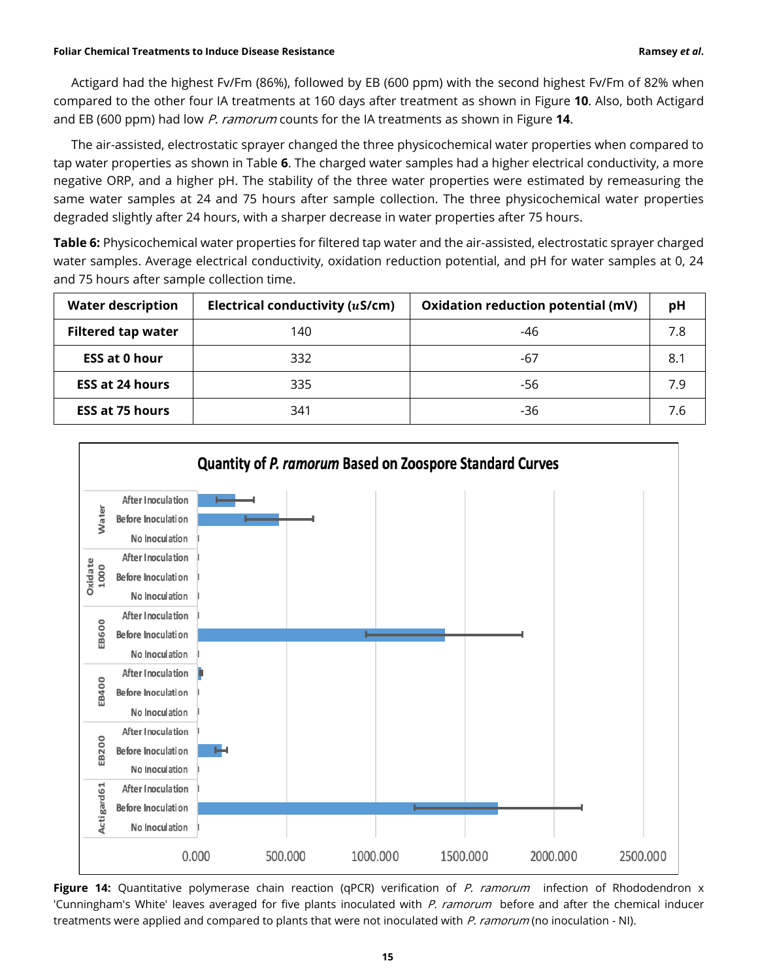Actigard had the highest Fv/Fm (86%), followed by EB (600 ppm) with the second highest Fv/Fm of 82% when compared to the other four IA treatments at 160 days after treatment as shown in Figure **10**. Also, both Actigard and EB (600 ppm) had low P. ramorum counts for the IA treatments as shown in Figure **14**.

The air-assisted, electrostatic sprayer changed the three physicochemical water properties when compared to tap water properties as shown in Table **6**. The charged water samples had a higher electrical conductivity, a more negative ORP, and a higher pH. The stability of the three water properties were estimated by remeasuring the same water samples at 24 and 75 hours after sample collection. The three physicochemical water properties degraded slightly after 24 hours, with a sharper decrease in water properties after 75 hours.

**Table 6:** Physicochemical water properties for filtered tap water and the air-assisted, electrostatic sprayer charged water samples. Average electrical conductivity, oxidation reduction potential, and pH for water samples at 0, 24 and 75 hours after sample collection time.

| <b>Water description</b>  | Electrical conductivity (uS/cm) | Oxidation reduction potential (mV) | рH  |
|---------------------------|---------------------------------|------------------------------------|-----|
| <b>Filtered tap water</b> | 140                             | -46                                | 7.8 |
| <b>ESS at 0 hour</b>      | 332                             | -67                                | 8.1 |
| <b>ESS at 24 hours</b>    | 335                             | -56                                | 7.9 |
| <b>ESS at 75 hours</b>    | 341                             | -36                                | 7.6 |



**Figure 14:** Quantitative polymerase chain reaction (qPCR) verification of P. ramorum infection of Rhododendron x 'Cunningham's White' leaves averaged for five plants inoculated with P. ramorum before and after the chemical inducer treatments were applied and compared to plants that were not inoculated with P. ramorum (no inoculation - NI).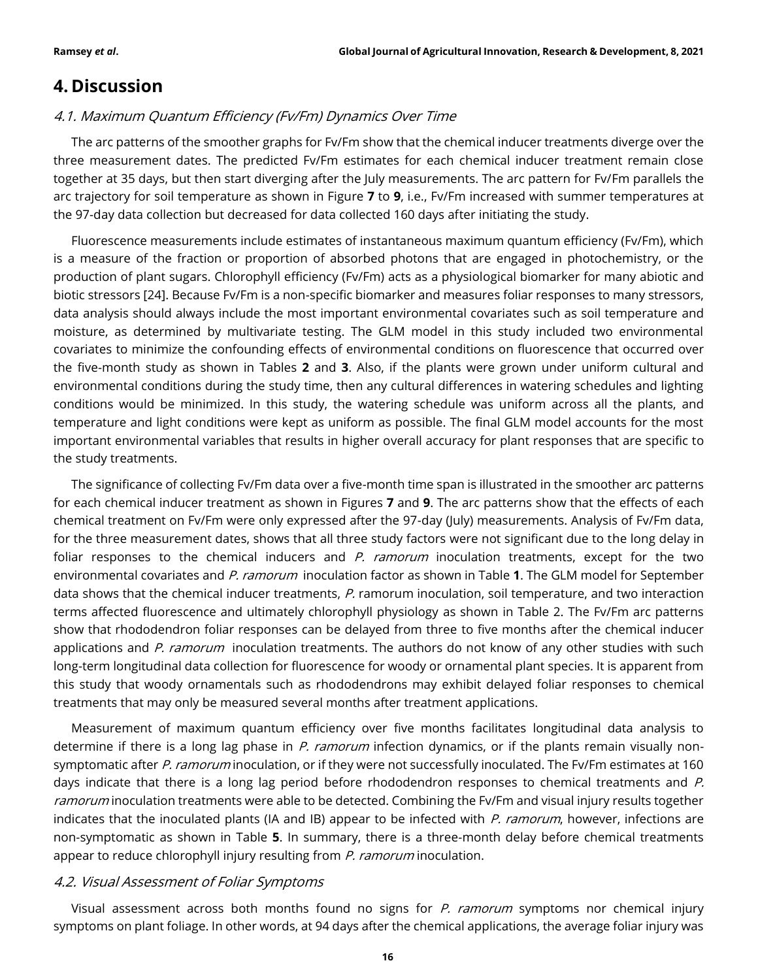# **4. Discussion**

# 4.1. Maximum Quantum Efficiency (Fv/Fm) Dynamics Over Time

The arc patterns of the smoother graphs for Fv/Fm show that the chemical inducer treatments diverge over the three measurement dates. The predicted Fv/Fm estimates for each chemical inducer treatment remain close together at 35 days, but then start diverging after the July measurements. The arc pattern for Fv/Fm parallels the arc trajectory for soil temperature as shown in Figure **7** to **9**, i.e., Fv/Fm increased with summer temperatures at the 97-day data collection but decreased for data collected 160 days after initiating the study.

Fluorescence measurements include estimates of instantaneous maximum quantum efficiency (Fv/Fm), which is a measure of the fraction or proportion of absorbed photons that are engaged in photochemistry, or the production of plant sugars. Chlorophyll efficiency (Fv/Fm) acts as a physiological biomarker for many abiotic and biotic stressors [24]. Because Fv/Fm is a non-specific biomarker and measures foliar responses to many stressors, data analysis should always include the most important environmental covariates such as soil temperature and moisture, as determined by multivariate testing. The GLM model in this study included two environmental covariates to minimize the confounding effects of environmental conditions on fluorescence that occurred over the five-month study as shown in Tables **2** and **3**. Also, if the plants were grown under uniform cultural and environmental conditions during the study time, then any cultural differences in watering schedules and lighting conditions would be minimized. In this study, the watering schedule was uniform across all the plants, and temperature and light conditions were kept as uniform as possible. The final GLM model accounts for the most important environmental variables that results in higher overall accuracy for plant responses that are specific to the study treatments.

The significance of collecting Fv/Fm data over a five-month time span is illustrated in the smoother arc patterns for each chemical inducer treatment as shown in Figures **7** and **9**. The arc patterns show that the effects of each chemical treatment on Fv/Fm were only expressed after the 97-day (July) measurements. Analysis of Fv/Fm data, for the three measurement dates, shows that all three study factors were not significant due to the long delay in foliar responses to the chemical inducers and  $P$ . ramorum inoculation treatments, except for the two environmental covariates and P. ramorum inoculation factor as shown in Table **1**. The GLM model for September data shows that the chemical inducer treatments, P. ramorum inoculation, soil temperature, and two interaction terms affected fluorescence and ultimately chlorophyll physiology as shown in Table 2. The Fv/Fm arc patterns show that rhododendron foliar responses can be delayed from three to five months after the chemical inducer applications and P. ramorum inoculation treatments. The authors do not know of any other studies with such long-term longitudinal data collection for fluorescence for woody or ornamental plant species. It is apparent from this study that woody ornamentals such as rhododendrons may exhibit delayed foliar responses to chemical treatments that may only be measured several months after treatment applications.

Measurement of maximum quantum efficiency over five months facilitates longitudinal data analysis to determine if there is a long lag phase in P. ramorum infection dynamics, or if the plants remain visually nonsymptomatic after P. ramorum inoculation, or if they were not successfully inoculated. The Fv/Fm estimates at 160 days indicate that there is a long lag period before rhododendron responses to chemical treatments and P. ramorum inoculation treatments were able to be detected. Combining the Fv/Fm and visual injury results together indicates that the inoculated plants (IA and IB) appear to be infected with P. ramorum, however, infections are non-symptomatic as shown in Table **5**. In summary, there is a three-month delay before chemical treatments appear to reduce chlorophyll injury resulting from P. ramorum inoculation.

# 4.2. Visual Assessment of Foliar Symptoms

Visual assessment across both months found no signs for P. ramorum symptoms nor chemical injury symptoms on plant foliage. In other words, at 94 days after the chemical applications, the average foliar injury was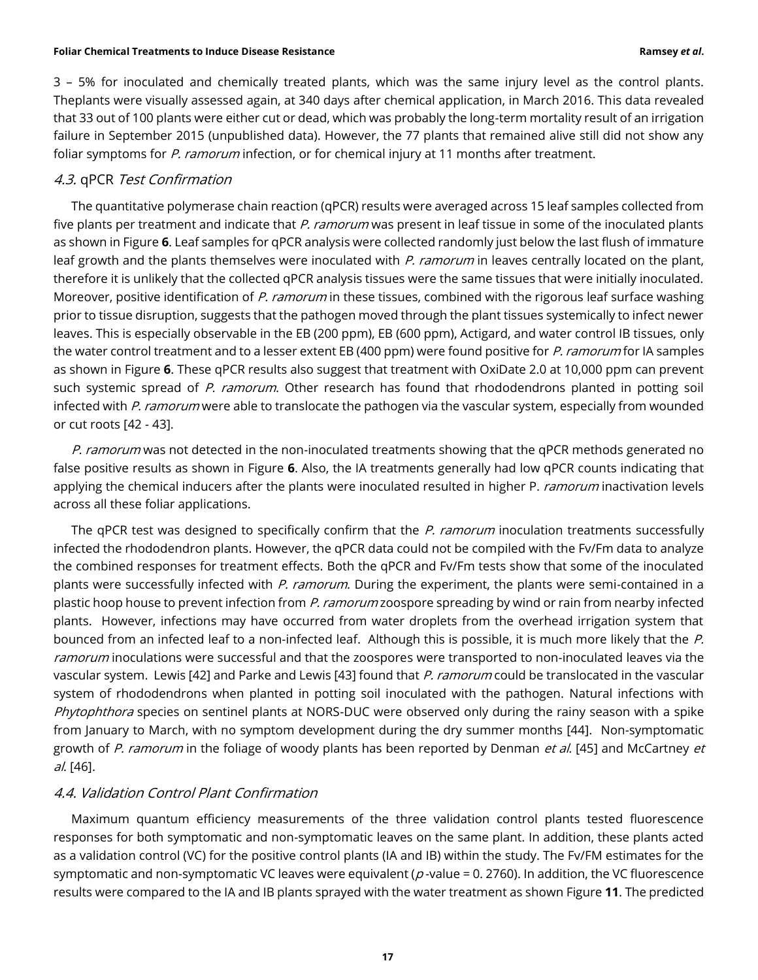3 – 5% for inoculated and chemically treated plants, which was the same injury level as the control plants. Theplants were visually assessed again, at 340 days after chemical application, in March 2016. This data revealed that 33 out of 100 plants were either cut or dead, which was probably the long-term mortality result of an irrigation failure in September 2015 (unpublished data). However, the 77 plants that remained alive still did not show any foliar symptoms for P. ramorum infection, or for chemical injury at 11 months after treatment.

## 4.3. qPCR Test Confirmation

The quantitative polymerase chain reaction (qPCR) results were averaged across 15 leaf samples collected from five plants per treatment and indicate that P. ramorum was present in leaf tissue in some of the inoculated plants as shown in Figure **6**. Leaf samples for qPCR analysis were collected randomly just below the last flush of immature leaf growth and the plants themselves were inoculated with P. ramorum in leaves centrally located on the plant, therefore it is unlikely that the collected qPCR analysis tissues were the same tissues that were initially inoculated. Moreover, positive identification of P. ramorum in these tissues, combined with the rigorous leaf surface washing prior to tissue disruption, suggests that the pathogen moved through the plant tissues systemically to infect newer leaves. This is especially observable in the EB (200 ppm), EB (600 ppm), Actigard, and water control IB tissues, only the water control treatment and to a lesser extent EB (400 ppm) were found positive for P. ramorum for IA samples as shown in Figure **6**. These qPCR results also suggest that treatment with OxiDate 2.0 at 10,000 ppm can prevent such systemic spread of P. ramorum. Other research has found that rhododendrons planted in potting soil infected with P. ramorum were able to translocate the pathogen via the vascular system, especially from wounded or cut roots [42 - 43].

P. ramorum was not detected in the non-inoculated treatments showing that the qPCR methods generated no false positive results as shown in Figure **6**. Also, the IA treatments generally had low qPCR counts indicating that applying the chemical inducers after the plants were inoculated resulted in higher P. ramorum inactivation levels across all these foliar applications.

The qPCR test was designed to specifically confirm that the P. ramorum inoculation treatments successfully infected the rhododendron plants. However, the qPCR data could not be compiled with the Fv/Fm data to analyze the combined responses for treatment effects. Both the qPCR and Fv/Fm tests show that some of the inoculated plants were successfully infected with P. ramorum. During the experiment, the plants were semi-contained in a plastic hoop house to prevent infection from P. ramorum zoospore spreading by wind or rain from nearby infected plants. However, infections may have occurred from water droplets from the overhead irrigation system that bounced from an infected leaf to a non-infected leaf. Although this is possible, it is much more likely that the P. ramorum inoculations were successful and that the zoospores were transported to non-inoculated leaves via the vascular system. Lewis [42] and Parke and Lewis [43] found that P. ramorum could be translocated in the vascular system of rhododendrons when planted in potting soil inoculated with the pathogen. Natural infections with Phytophthora species on sentinel plants at NORS-DUC were observed only during the rainy season with a spike from January to March, with no symptom development during the dry summer months [44]. Non-symptomatic growth of P. ramorum in the foliage of woody plants has been reported by Denman et al. [45] and McCartney et al. [46].

# 4.4. Validation Control Plant Confirmation

Maximum quantum efficiency measurements of the three validation control plants tested fluorescence responses for both symptomatic and non-symptomatic leaves on the same plant. In addition, these plants acted as a validation control (VC) for the positive control plants (IA and IB) within the study. The Fv/FM estimates for the symptomatic and non-symptomatic VC leaves were equivalent ( $p$ -value = 0. 2760). In addition, the VC fluorescence results were compared to the IA and IB plants sprayed with the water treatment as shown Figure **11**. The predicted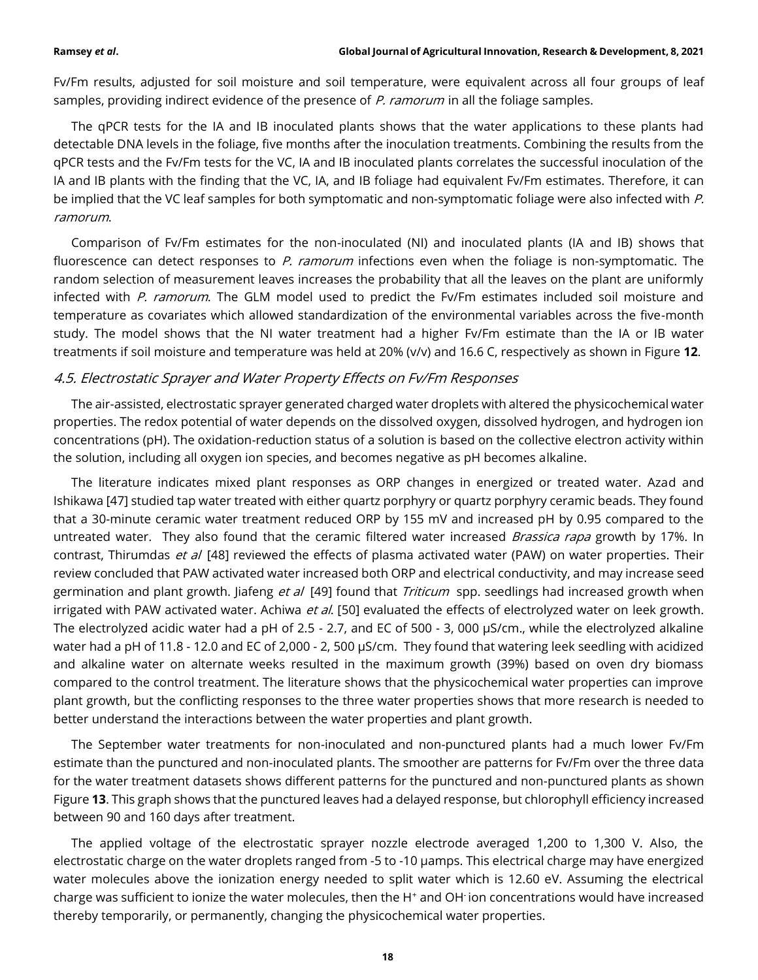Fv/Fm results, adjusted for soil moisture and soil temperature, were equivalent across all four groups of leaf samples, providing indirect evidence of the presence of P. ramorum in all the foliage samples.

The qPCR tests for the IA and IB inoculated plants shows that the water applications to these plants had detectable DNA levels in the foliage, five months after the inoculation treatments. Combining the results from the qPCR tests and the Fv/Fm tests for the VC, IA and IB inoculated plants correlates the successful inoculation of the IA and IB plants with the finding that the VC, IA, and IB foliage had equivalent Fv/Fm estimates. Therefore, it can be implied that the VC leaf samples for both symptomatic and non-symptomatic foliage were also infected with P. ramorum.

Comparison of Fv/Fm estimates for the non-inoculated (NI) and inoculated plants (IA and IB) shows that fluorescence can detect responses to P. ramorum infections even when the foliage is non-symptomatic. The random selection of measurement leaves increases the probability that all the leaves on the plant are uniformly infected with P. ramorum. The GLM model used to predict the Fv/Fm estimates included soil moisture and temperature as covariates which allowed standardization of the environmental variables across the five-month study. The model shows that the NI water treatment had a higher Fv/Fm estimate than the IA or IB water treatments if soil moisture and temperature was held at 20% (v/v) and 16.6 C, respectively as shown in Figure **12**.

# 4.5. Electrostatic Sprayer and Water Property Effects on Fv/Fm Responses

The air-assisted, electrostatic sprayer generated charged water droplets with altered the physicochemical water properties. The redox potential of water depends on the dissolved oxygen, dissolved hydrogen, and hydrogen ion concentrations (pH). The oxidation-reduction status of a solution is based on the collective electron activity within the solution, including all oxygen ion species, and becomes negative as pH becomes alkaline.

The literature indicates mixed plant responses as ORP changes in energized or treated water. Azad and Ishikawa [47] studied tap water treated with either quartz porphyry or quartz porphyry ceramic beads. They found that a 30-minute ceramic water treatment reduced ORP by 155 mV and increased pH by 0.95 compared to the untreated water. They also found that the ceramic filtered water increased Brassica rapa growth by 17%. In contrast, Thirumdas et al [48] reviewed the effects of plasma activated water (PAW) on water properties. Their review concluded that PAW activated water increased both ORP and electrical conductivity, and may increase seed germination and plant growth. Jiafeng et al [49] found that Triticum spp. seedlings had increased growth when irrigated with PAW activated water. Achiwa et al. [50] evaluated the effects of electrolyzed water on leek growth. The electrolyzed acidic water had a pH of 2.5 - 2.7, and EC of 500 - 3, 000 µS/cm., while the electrolyzed alkaline water had a pH of 11.8 - 12.0 and EC of 2,000 - 2, 500 µS/cm. They found that watering leek seedling with acidized and alkaline water on alternate weeks resulted in the maximum growth (39%) based on oven dry biomass compared to the control treatment. The literature shows that the physicochemical water properties can improve plant growth, but the conflicting responses to the three water properties shows that more research is needed to better understand the interactions between the water properties and plant growth.

The September water treatments for non-inoculated and non-punctured plants had a much lower Fv/Fm estimate than the punctured and non-inoculated plants. The smoother are patterns for Fv/Fm over the three data for the water treatment datasets shows different patterns for the punctured and non-punctured plants as shown Figure **13**. This graph shows that the punctured leaves had a delayed response, but chlorophyll efficiency increased between 90 and 160 days after treatment.

The applied voltage of the electrostatic sprayer nozzle electrode averaged 1,200 to 1,300 V. Also, the electrostatic charge on the water droplets ranged from -5 to -10 µamps. This electrical charge may have energized water molecules above the ionization energy needed to split water which is 12.60 eV. Assuming the electrical charge was sufficient to ionize the water molecules, then the H<sup>+</sup> and OH ion concentrations would have increased thereby temporarily, or permanently, changing the physicochemical water properties.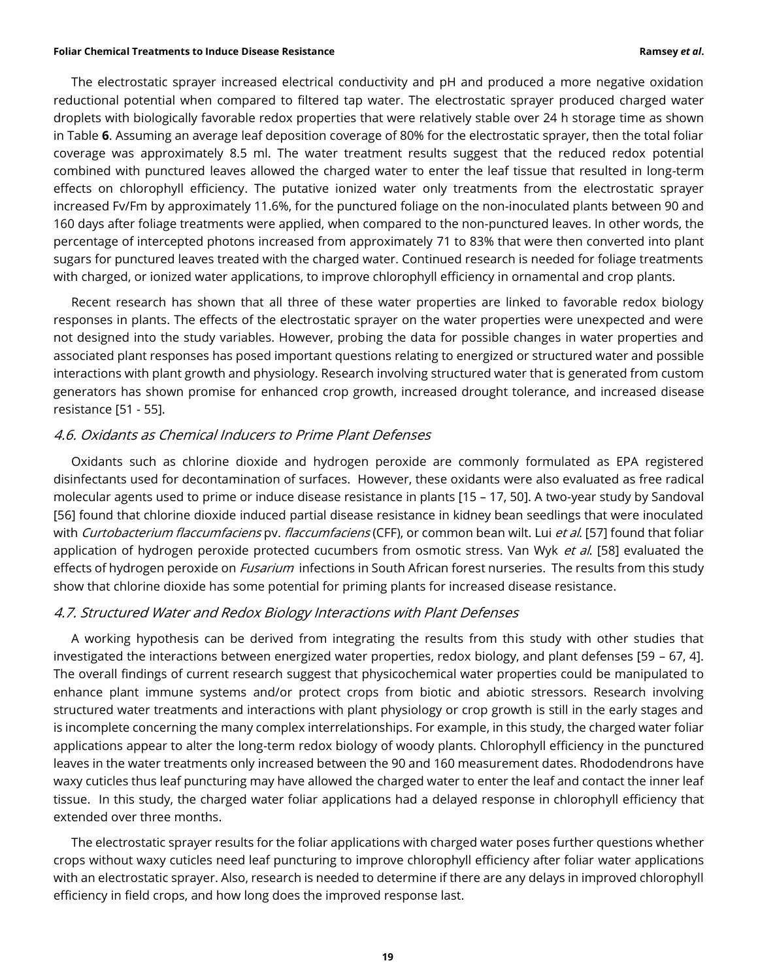The electrostatic sprayer increased electrical conductivity and pH and produced a more negative oxidation reductional potential when compared to filtered tap water. The electrostatic sprayer produced charged water droplets with biologically favorable redox properties that were relatively stable over 24 h storage time as shown in Table **6**. Assuming an average leaf deposition coverage of 80% for the electrostatic sprayer, then the total foliar coverage was approximately 8.5 ml. The water treatment results suggest that the reduced redox potential combined with punctured leaves allowed the charged water to enter the leaf tissue that resulted in long-term effects on chlorophyll efficiency. The putative ionized water only treatments from the electrostatic sprayer increased Fv/Fm by approximately 11.6%, for the punctured foliage on the non-inoculated plants between 90 and 160 days after foliage treatments were applied, when compared to the non-punctured leaves. In other words, the percentage of intercepted photons increased from approximately 71 to 83% that were then converted into plant sugars for punctured leaves treated with the charged water. Continued research is needed for foliage treatments with charged, or ionized water applications, to improve chlorophyll efficiency in ornamental and crop plants.

Recent research has shown that all three of these water properties are linked to favorable redox biology responses in plants. The effects of the electrostatic sprayer on the water properties were unexpected and were not designed into the study variables. However, probing the data for possible changes in water properties and associated plant responses has posed important questions relating to energized or structured water and possible interactions with plant growth and physiology. Research involving structured water that is generated from custom generators has shown promise for enhanced crop growth, increased drought tolerance, and increased disease resistance [51 - 55].

### 4.6. Oxidants as Chemical Inducers to Prime Plant Defenses

Oxidants such as chlorine dioxide and hydrogen peroxide are commonly formulated as EPA registered disinfectants used for decontamination of surfaces. However, these oxidants were also evaluated as free radical molecular agents used to prime or induce disease resistance in plants [15 – 17, 50]. A two-year study by Sandoval [56] found that chlorine dioxide induced partial disease resistance in kidney bean seedlings that were inoculated with Curtobacterium flaccumfaciens pv. flaccumfaciens (CFF), or common bean wilt. Lui et al. [57] found that foliar application of hydrogen peroxide protected cucumbers from osmotic stress. Van Wyk et al. [58] evaluated the effects of hydrogen peroxide on *Fusarium* infections in South African forest nurseries. The results from this study show that chlorine dioxide has some potential for priming plants for increased disease resistance.

## 4.7. Structured Water and Redox Biology Interactions with Plant Defenses

A working hypothesis can be derived from integrating the results from this study with other studies that investigated the interactions between energized water properties, redox biology, and plant defenses [59 – 67, 4]. The overall findings of current research suggest that physicochemical water properties could be manipulated to enhance plant immune systems and/or protect crops from biotic and abiotic stressors. Research involving structured water treatments and interactions with plant physiology or crop growth is still in the early stages and is incomplete concerning the many complex interrelationships. For example, in this study, the charged water foliar applications appear to alter the long-term redox biology of woody plants. Chlorophyll efficiency in the punctured leaves in the water treatments only increased between the 90 and 160 measurement dates. Rhododendrons have waxy cuticles thus leaf puncturing may have allowed the charged water to enter the leaf and contact the inner leaf tissue. In this study, the charged water foliar applications had a delayed response in chlorophyll efficiency that extended over three months.

The electrostatic sprayer results for the foliar applications with charged water poses further questions whether crops without waxy cuticles need leaf puncturing to improve chlorophyll efficiency after foliar water applications with an electrostatic sprayer. Also, research is needed to determine if there are any delays in improved chlorophyll efficiency in field crops, and how long does the improved response last.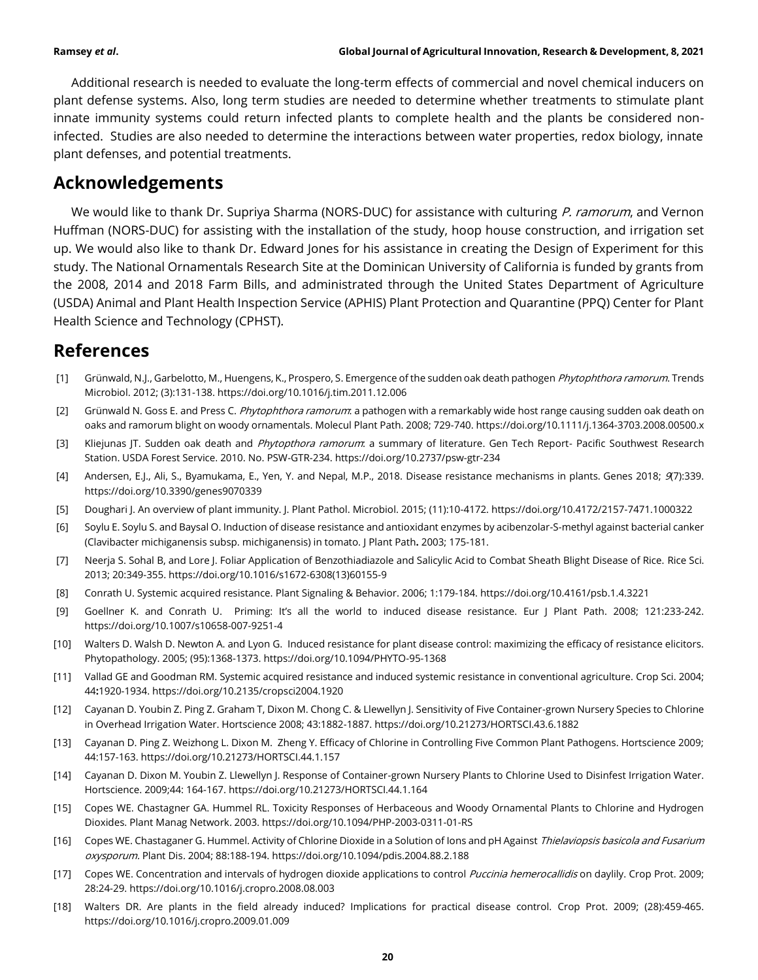Additional research is needed to evaluate the long-term effects of commercial and novel chemical inducers on plant defense systems. Also, long term studies are needed to determine whether treatments to stimulate plant innate immunity systems could return infected plants to complete health and the plants be considered noninfected. Studies are also needed to determine the interactions between water properties, redox biology, innate plant defenses, and potential treatments.

# **Acknowledgements**

We would like to thank Dr. Supriya Sharma (NORS-DUC) for assistance with culturing P. ramorum, and Vernon Huffman (NORS-DUC) for assisting with the installation of the study, hoop house construction, and irrigation set up. We would also like to thank Dr. Edward Jones for his assistance in creating the Design of Experiment for this study. The National Ornamentals Research Site at the Dominican University of California is funded by grants from the 2008, 2014 and 2018 Farm Bills, and administrated through the United States Department of Agriculture (USDA) Animal and Plant Health Inspection Service (APHIS) Plant Protection and Quarantine (PPQ) Center for Plant Health Science and Technology (CPHST).

# **References**

- [1] Grünwald, N.J., Garbelotto, M., Huengens, K., Prospero, S. Emergence of the sudden oak death pathogen Phytophthora ramorum. Trends Microbiol. 2012; (3):131-138. https://doi.org/10.1016/j.tim.2011.12.006
- [2] Grünwald N. Goss E. and Press C. Phytophthora ramorum: a pathogen with a remarkably wide host range causing sudden oak death on oaks and ramorum blight on woody ornamentals. Molecul Plant Path. 2008; 729-740. https://doi.org/10.1111/j.1364-3703.2008.00500.x
- [3] Kliejunas JT. Sudden oak death and Phytopthora ramorum: a summary of literature. Gen Tech Report- Pacific Southwest Research Station. USDA Forest Service. 2010. No. PSW-GTR-234. https://doi.org/10.2737/psw-gtr-234
- [4] Andersen, E.J., Ali, S., Byamukama, E., Yen, Y. and Nepal, M.P., 2018. Disease resistance mechanisms in plants. Genes 2018; 9(7):339. https://doi.org/10.3390/genes9070339
- [5] Doughari J. An overview of plant immunity. J. Plant Pathol. Microbiol. 2015; (11):10-4172. https://doi.org/10.4172/2157-7471.1000322
- [6] Soylu E. Soylu S. and Baysal O. Induction of disease resistance and antioxidant enzymes by acibenzolar-S-methyl against bacterial canker (Clavibacter michiganensis subsp. michiganensis) in tomato. J Plant Path**.** 2003; 175-181.
- [7] Neerja S. Sohal B, and Lore J. Foliar Application of Benzothiadiazole and Salicylic Acid to Combat Sheath Blight Disease of Rice. Rice Sci. 2013; 20:349-355. https://doi.org/10.1016/s1672-6308(13)60155-9
- [8] Conrath U. Systemic acquired resistance. Plant Signaling & Behavior. 2006; 1:179-184. https://doi.org/10.4161/psb.1.4.3221
- [9] Goellner K. and Conrath U. Priming: It's all the world to induced disease resistance. Eur J Plant Path. 2008; 121:233-242. https://doi.org/10.1007/s10658-007-9251-4
- [10] Walters D. Walsh D. Newton A. and Lyon G. Induced resistance for plant disease control: maximizing the efficacy of resistance elicitors. Phytopathology. 2005; (95):1368-1373. https://doi.org/10.1094/PHYTO-95-1368
- [11] Vallad GE and Goodman RM. Systemic acquired resistance and induced systemic resistance in conventional agriculture. Crop Sci. 2004; 44**:**1920-1934. https://doi.org/10.2135/cropsci2004.1920
- [12] Cayanan D. Youbin Z. Ping Z. Graham T, Dixon M. Chong C. & Llewellyn J. Sensitivity of Five Container-grown Nursery Species to Chlorine in Overhead Irrigation Water. Hortscience 2008; 43:1882-1887. https://doi.org/10.21273/HORTSCI.43.6.1882
- [13] Cayanan D. Ping Z. Weizhong L. Dixon M. Zheng Y. Efficacy of Chlorine in Controlling Five Common Plant Pathogens. Hortscience 2009; 44:157-163. https://doi.org/10.21273/HORTSCI.44.1.157
- [14] Cayanan D. Dixon M. Youbin Z. Llewellyn J. Response of Container-grown Nursery Plants to Chlorine Used to Disinfest Irrigation Water. Hortscience. 2009;44: 164-167. https://doi.org/10.21273/HORTSCI.44.1.164
- [15] Copes WE. Chastagner GA. Hummel RL. Toxicity Responses of Herbaceous and Woody Ornamental Plants to Chlorine and Hydrogen Dioxides. Plant Manag Network. 2003. https://doi.org/10.1094/PHP-2003-0311-01-RS
- [16] Copes WE. Chastaganer G. Hummel. Activity of Chlorine Dioxide in a Solution of lons and pH Against Thielaviopsis basicola and Fusarium oxysporum. Plant Dis. 2004; 88:188-194. https://doi.org/10.1094/pdis.2004.88.2.188
- [17] Copes WE. Concentration and intervals of hydrogen dioxide applications to control Puccinia hemerocallidis on daylily. Crop Prot. 2009; 28:24-29. https://doi.org/10.1016/j.cropro.2008.08.003
- [18] Walters DR. Are plants in the field already induced? Implications for practical disease control. Crop Prot. 2009; (28):459-465. https://doi.org/10.1016/j.cropro.2009.01.009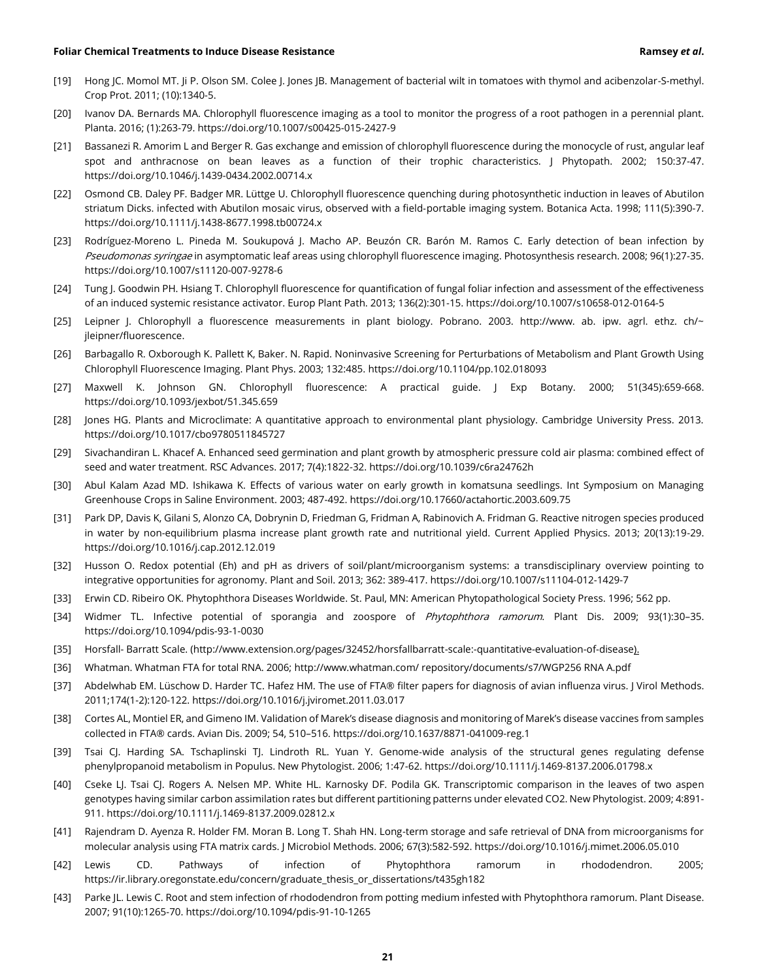- [19] Hong JC. Momol MT. Ji P. Olson SM. Colee J. Jones JB. Management of bacterial wilt in tomatoes with thymol and acibenzolar-S-methyl. Crop Prot. 2011; (10):1340-5.
- [20] Ivanov DA. Bernards MA. Chlorophyll fluorescence imaging as a tool to monitor the progress of a root pathogen in a perennial plant. Planta. 2016; (1):263-79. https://doi.org/10.1007/s00425-015-2427-9
- [21] Bassanezi R. Amorim L and Berger R. Gas exchange and emission of chlorophyll fluorescence during the monocycle of rust, angular leaf spot and anthracnose on bean leaves as a function of their trophic characteristics. J Phytopath. 2002; 150:37-47. https://doi.org/10.1046/j.1439-0434.2002.00714.x
- [22] Osmond CB. Daley PF. Badger MR. Lüttge U. Chlorophyll fluorescence quenching during photosynthetic induction in leaves of Abutilon striatum Dicks. infected with Abutilon mosaic virus, observed with a field‐portable imaging system. Botanica Acta. 1998; 111(5):390-7. https://doi.org/10.1111/j.1438-8677.1998.tb00724.x
- [23] Rodríguez-Moreno L. Pineda M. Soukupová J. Macho AP. Beuzón CR. Barón M. Ramos C. Early detection of bean infection by Pseudomonas syringae in asymptomatic leaf areas using chlorophyll fluorescence imaging. Photosynthesis research. 2008; 96(1):27-35. https://doi.org/10.1007/s11120-007-9278-6
- [24] Tung J. Goodwin PH. Hsiang T. Chlorophyll fluorescence for quantification of fungal foliar infection and assessment of the effectiveness of an induced systemic resistance activator. Europ Plant Path. 2013; 136(2):301-15. https://doi.org/10.1007/s10658-012-0164-5
- [25] Leipner J. Chlorophyll a fluorescence measurements in plant biology. Pobrano. 2003. http://www. ab. ipw. agrl. ethz. ch/~ jleipner/fluorescence.
- [26] Barbagallo R. Oxborough K. Pallett K, Baker. N. Rapid. Noninvasive Screening for Perturbations of Metabolism and Plant Growth Using Chlorophyll Fluorescence Imaging. Plant Phys. 2003; 132:485. https://doi.org/10.1104/pp.102.018093
- [27] Maxwell K. Johnson GN. Chlorophyll fluorescence: A practical guide. J Exp Botany. 2000; 51(345):659-668. https://doi.org/10.1093/jexbot/51.345.659
- [28] Jones HG. Plants and Microclimate: A quantitative approach to environmental plant physiology. Cambridge University Press. 2013. https://doi.org/10.1017/cbo9780511845727
- [29] Sivachandiran L. Khacef A. Enhanced seed germination and plant growth by atmospheric pressure cold air plasma: combined effect of seed and water treatment. RSC Advances. 2017; 7(4):1822-32. https://doi.org/10.1039/c6ra24762h
- [30] Abul Kalam Azad MD. Ishikawa K. Effects of various water on early growth in komatsuna seedlings. Int Symposium on Managing Greenhouse Crops in Saline Environment. 2003; 487-492. https://doi.org/10.17660/actahortic.2003.609.75
- [31] Park DP, Davis K, Gilani S, Alonzo CA, Dobrynin D, Friedman G, Fridman A, Rabinovich A. Fridman G. Reactive nitrogen species produced in water by non-equilibrium plasma increase plant growth rate and nutritional yield. Current Applied Physics. 2013; 20(13):19-29. https://doi.org/10.1016/j.cap.2012.12.019
- [32] Husson O. Redox potential (Eh) and pH as drivers of soil/plant/microorganism systems: a transdisciplinary overview pointing to integrative opportunities for agronomy. Plant and Soil. 2013; 362: 389-417. https://doi.org/10.1007/s11104-012-1429-7
- [33] Erwin CD. Ribeiro OK. Phytophthora Diseases Worldwide. St. Paul, MN: American Phytopathological Society Press. 1996; 562 pp.
- [34] Widmer TL. Infective potential of sporangia and zoospore of *Phytophthora ramorum*. Plant Dis. 2009; 93(1):30-35. https://doi.org/10.1094/pdis-93-1-0030
- [35] Horsfall- Barratt Scale. (http://www.extension.org/pages/32452/horsfallbarratt-scale:-quantitative-evaluation-of-disease).
- [36] Whatman. Whatman FTA for total RNA. 2006; http://www.whatman.com/ repository/documents/s7/WGP256 RNA A.pdf
- [37] Abdelwhab EM. Lüschow D. Harder TC. Hafez HM. The use of FTA® filter papers for diagnosis of avian influenza virus. J Virol Methods. 2011;174(1-2):120-122. https://doi.org/10.1016/j.jviromet.2011.03.017
- [38] Cortes AL, Montiel ER, and Gimeno IM. Validation of Marek's disease diagnosis and monitoring of Marek's disease vaccines from samples collected in FTA® cards. Avian Dis. 2009; 54, 510–516. https://doi.org/10.1637/8871-041009-reg.1
- [39] Tsai CJ. Harding SA. Tschaplinski TJ. Lindroth RL. Yuan Y. Genome‐wide analysis of the structural genes regulating defense phenylpropanoid metabolism in Populus. New Phytologist. 2006; 1:47-62. https://doi.org/10.1111/j.1469-8137.2006.01798.x
- [40] Cseke LJ. Tsai CJ. Rogers A. Nelsen MP. White HL. Karnosky DF. Podila GK. Transcriptomic comparison in the leaves of two aspen genotypes having similar carbon assimilation rates but different partitioning patterns under elevated CO2. New Phytologist. 2009; 4:891- 911. https://doi.org/10.1111/j.1469-8137.2009.02812.x
- [41] Rajendram D. Ayenza R. Holder FM. Moran B. Long T. Shah HN. Long-term storage and safe retrieval of DNA from microorganisms for molecular analysis using FTA matrix cards. J Microbiol Methods. 2006; 67(3):582-592. https://doi.org/10.1016/j.mimet.2006.05.010
- [42] Lewis CD. Pathways of infection of Phytophthora ramorum in rhododendron. 2005; https://ir.library.oregonstate.edu/concern/graduate\_thesis\_or\_dissertations/t435gh182
- [43] Parke JL. Lewis C. Root and stem infection of rhododendron from potting medium infested with Phytophthora ramorum. Plant Disease. 2007; 91(10):1265-70. https://doi.org/10.1094/pdis-91-10-1265